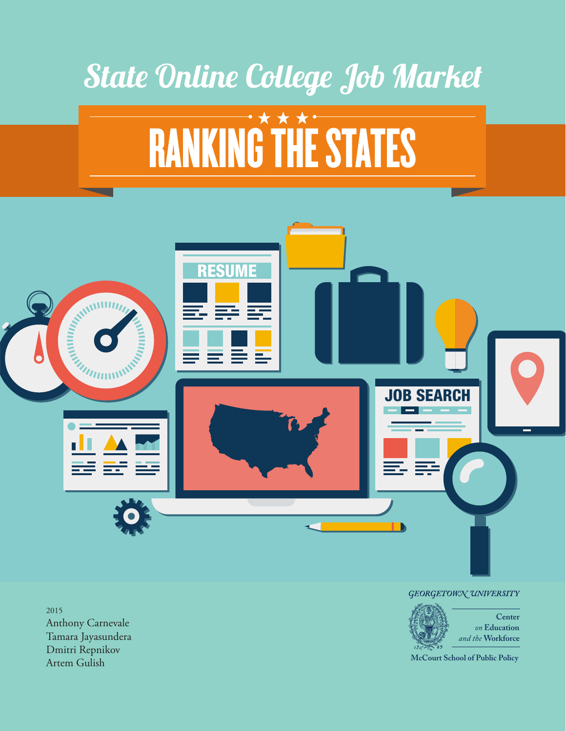

2015 Anthony Carnevale Tamara Jayasundera Dmitri Repnikov Artem Gulish

#### GEORGETOWN UNIVERSITY



**McCourt School of Public Policy**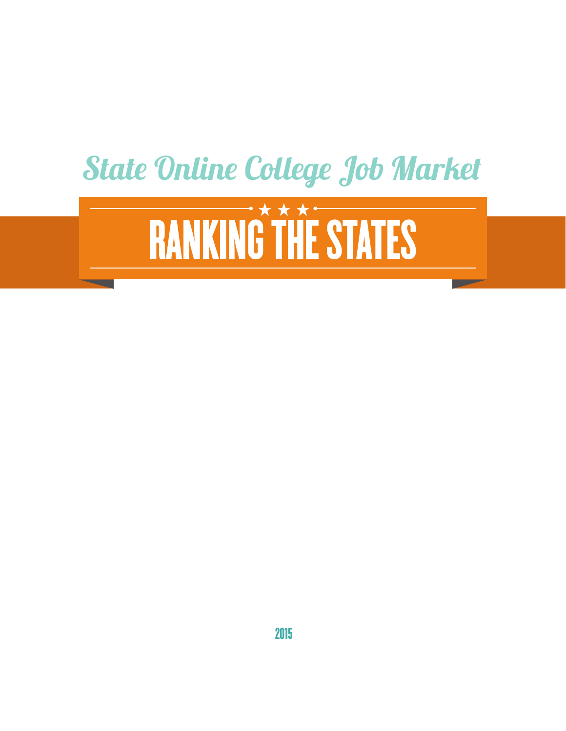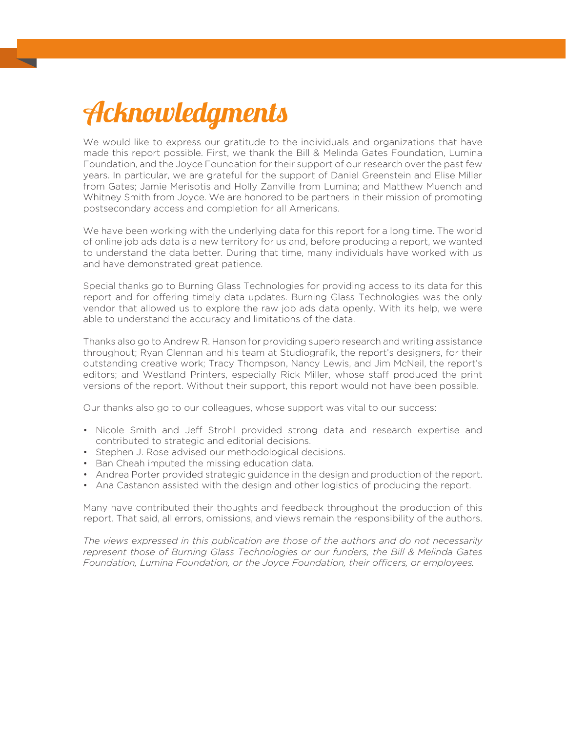# Acknowledgments

We would like to express our gratitude to the individuals and organizations that have made this report possible. First, we thank the Bill & Melinda Gates Foundation, Lumina Foundation, and the Joyce Foundation for their support of our research over the past few years. In particular, we are grateful for the support of Daniel Greenstein and Elise Miller from Gates; Jamie Merisotis and Holly Zanville from Lumina; and Matthew Muench and Whitney Smith from Joyce. We are honored to be partners in their mission of promoting postsecondary access and completion for all Americans.

We have been working with the underlying data for this report for a long time. The world of online job ads data is a new territory for us and, before producing a report, we wanted to understand the data better. During that time, many individuals have worked with us and have demonstrated great patience.

Special thanks go to Burning Glass Technologies for providing access to its data for this report and for offering timely data updates. Burning Glass Technologies was the only vendor that allowed us to explore the raw job ads data openly. With its help, we were able to understand the accuracy and limitations of the data.

Thanks also go to Andrew R. Hanson for providing superb research and writing assistance throughout; Ryan Clennan and his team at Studiografik, the report's designers, for their outstanding creative work; Tracy Thompson, Nancy Lewis, and Jim McNeil, the report's editors; and Westland Printers, especially Rick Miller, whose staff produced the print versions of the report. Without their support, this report would not have been possible.

Our thanks also go to our colleagues, whose support was vital to our success:

- Nicole Smith and Jeff Strohl provided strong data and research expertise and contributed to strategic and editorial decisions.
- Stephen J. Rose advised our methodological decisions.
- Ban Cheah imputed the missing education data.
- Andrea Porter provided strategic guidance in the design and production of the report.
- Ana Castanon assisted with the design and other logistics of producing the report.

Many have contributed their thoughts and feedback throughout the production of this report. That said, all errors, omissions, and views remain the responsibility of the authors.

*The views expressed in this publication are those of the authors and do not necessarily represent those of Burning Glass Technologies or our funders, the Bill & Melinda Gates Foundation, Lumina Foundation, or the Joyce Foundation, their officers, or employees.*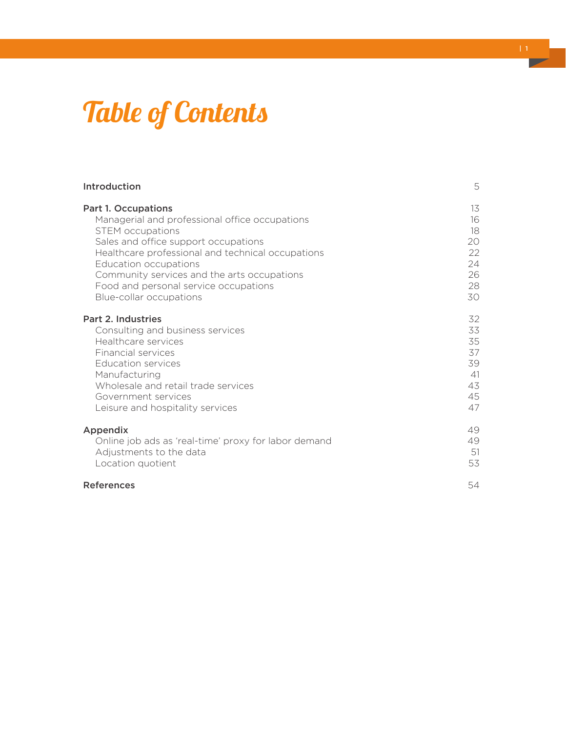# Table of Contents

| Introduction                                         | 5  |
|------------------------------------------------------|----|
| <b>Part 1. Occupations</b>                           | 13 |
| Managerial and professional office occupations       | 16 |
| <b>STEM</b> occupations                              | 18 |
| Sales and office support occupations                 | 20 |
| Healthcare professional and technical occupations    | 22 |
| <b>Education occupations</b>                         | 24 |
| Community services and the arts occupations          | 26 |
| Food and personal service occupations                | 28 |
| Blue-collar occupations                              | 30 |
| Part 2. Industries                                   | 32 |
| Consulting and business services                     | 33 |
| Healthcare services                                  | 35 |
| Financial services                                   | 37 |
| <b>Education services</b>                            | 39 |
| Manufacturing                                        | 41 |
| Wholesale and retail trade services                  | 43 |
| Government services                                  | 45 |
| Leisure and hospitality services                     | 47 |
| Appendix                                             | 49 |
| Online job ads as 'real-time' proxy for labor demand | 49 |
| Adjustments to the data                              | 51 |
| Location quotient                                    | 53 |
| <b>References</b>                                    | 54 |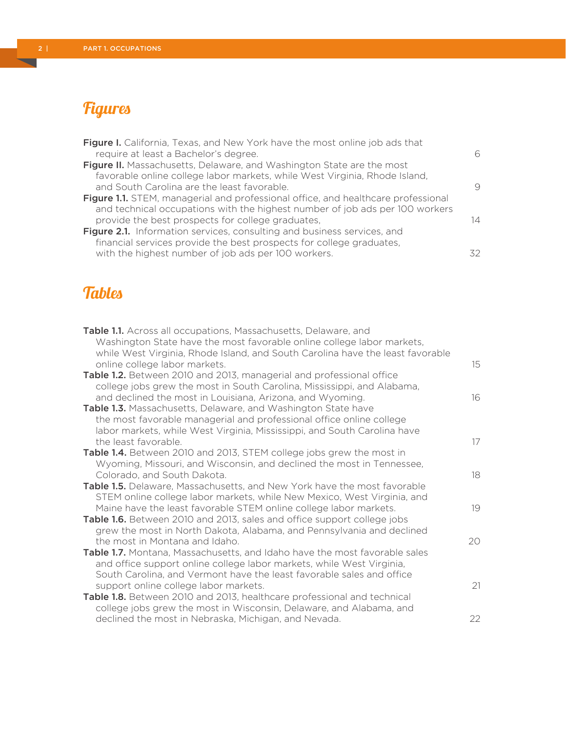# **Figures**

| Figure I. California, Texas, and New York have the most online job ads that       |    |
|-----------------------------------------------------------------------------------|----|
| require at least a Bachelor's degree.                                             | 6  |
| Figure II. Massachusetts, Delaware, and Washington State are the most             |    |
| favorable online college labor markets, while West Virginia, Rhode Island,        |    |
| and South Carolina are the least favorable.                                       | 9  |
| Figure 1.1. STEM, managerial and professional office, and healthcare professional |    |
| and technical occupations with the highest number of job ads per 100 workers      |    |
| provide the best prospects for college graduates,                                 | 14 |
| Figure 2.1. Information services, consulting and business services, and           |    |
| financial services provide the best prospects for college graduates,              |    |
| with the highest number of job ads per 100 workers.                               | スク |

# **Tables**

| Table 1.1. Across all occupations, Massachusetts, Delaware, and<br>Washington State have the most favorable online college labor markets,<br>while West Virginia, Rhode Island, and South Carolina have the least favorable<br>online college labor markets. | 15 |
|--------------------------------------------------------------------------------------------------------------------------------------------------------------------------------------------------------------------------------------------------------------|----|
| <b>Table 1.2.</b> Between 2010 and 2013, managerial and professional office<br>college jobs grew the most in South Carolina, Mississippi, and Alabama,                                                                                                       |    |
| and declined the most in Louisiana, Arizona, and Wyoming.                                                                                                                                                                                                    | 16 |
| Table 1.3. Massachusetts, Delaware, and Washington State have<br>the most favorable managerial and professional office online college<br>labor markets, while West Virginia, Mississippi, and South Carolina have                                            |    |
| the least favorable.                                                                                                                                                                                                                                         | 17 |
| Table 1.4. Between 2010 and 2013, STEM college jobs grew the most in<br>Wyoming, Missouri, and Wisconsin, and declined the most in Tennessee,<br>Colorado, and South Dakota.                                                                                 | 18 |
| Table 1.5. Delaware, Massachusetts, and New York have the most favorable<br>STEM online college labor markets, while New Mexico, West Virginia, and<br>Maine have the least favorable STEM online college labor markets.                                     | 19 |
| Table 1.6. Between 2010 and 2013, sales and office support college jobs<br>grew the most in North Dakota, Alabama, and Pennsylvania and declined                                                                                                             |    |
| the most in Montana and Idaho.<br>Table 1.7. Montana, Massachusetts, and Idaho have the most favorable sales<br>and office support online college labor markets, while West Virginia,                                                                        | 20 |
| South Carolina, and Vermont have the least favorable sales and office<br>support online college labor markets.<br>Table 1.8. Between 2010 and 2013, healthcare professional and technical                                                                    | 21 |
| college jobs grew the most in Wisconsin, Delaware, and Alabama, and<br>declined the most in Nebraska, Michigan, and Nevada.                                                                                                                                  | 22 |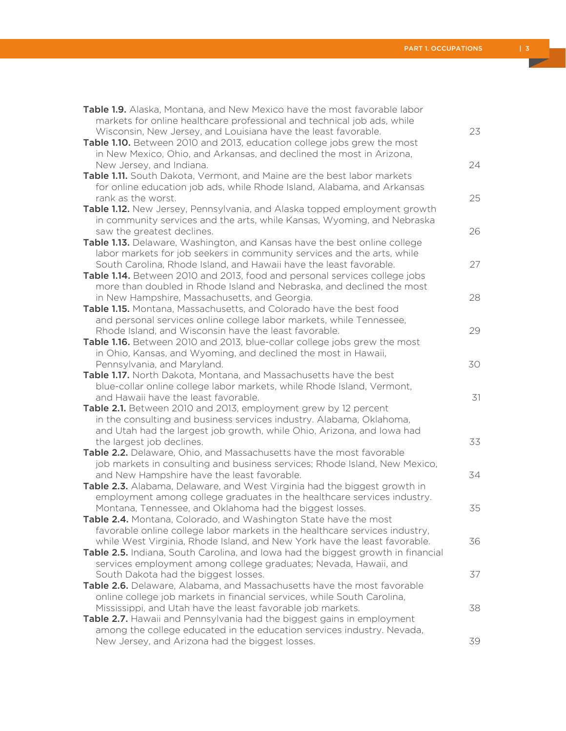| <b>Table 1.9.</b> Alaska, Montana, and New Mexico have the most favorable labor                                                                    |    |
|----------------------------------------------------------------------------------------------------------------------------------------------------|----|
| markets for online healthcare professional and technical job ads, while                                                                            |    |
| Wisconsin, New Jersey, and Louisiana have the least favorable.                                                                                     | 23 |
| Table 1.10. Between 2010 and 2013, education college jobs grew the most                                                                            |    |
| in New Mexico, Ohio, and Arkansas, and declined the most in Arizona,                                                                               |    |
| New Jersey, and Indiana.                                                                                                                           | 24 |
| Table 1.11. South Dakota, Vermont, and Maine are the best labor markets                                                                            |    |
| for online education job ads, while Rhode Island, Alabama, and Arkansas                                                                            |    |
| rank as the worst.                                                                                                                                 | 25 |
| Table 1.12. New Jersey, Pennsylvania, and Alaska topped employment growth                                                                          |    |
| in community services and the arts, while Kansas, Wyoming, and Nebraska                                                                            |    |
| saw the greatest declines.                                                                                                                         | 26 |
| Table 1.13. Delaware, Washington, and Kansas have the best online college                                                                          |    |
| labor markets for job seekers in community services and the arts, while                                                                            |    |
| South Carolina, Rhode Island, and Hawaii have the least favorable.                                                                                 | 27 |
| Table 1.14. Between 2010 and 2013, food and personal services college jobs                                                                         |    |
| more than doubled in Rhode Island and Nebraska, and declined the most                                                                              |    |
| in New Hampshire, Massachusetts, and Georgia.                                                                                                      | 28 |
| Table 1.15. Montana, Massachusetts, and Colorado have the best food                                                                                |    |
| and personal services online college labor markets, while Tennessee,                                                                               |    |
| Rhode Island, and Wisconsin have the least favorable.                                                                                              | 29 |
| Table 1.16. Between 2010 and 2013, blue-collar college jobs grew the most                                                                          |    |
| in Ohio, Kansas, and Wyoming, and declined the most in Hawaii,                                                                                     |    |
| Pennsylvania, and Maryland.                                                                                                                        | 30 |
| Table 1.17. North Dakota, Montana, and Massachusetts have the best                                                                                 |    |
| blue-collar online college labor markets, while Rhode Island, Vermont,                                                                             |    |
| and Hawaii have the least favorable.                                                                                                               | 31 |
| Table 2.1. Between 2010 and 2013, employment grew by 12 percent                                                                                    |    |
| in the consulting and business services industry. Alabama, Oklahoma,                                                                               |    |
| and Utah had the largest job growth, while Ohio, Arizona, and lowa had                                                                             |    |
| the largest job declines.                                                                                                                          | 33 |
| Table 2.2. Delaware, Ohio, and Massachusetts have the most favorable<br>job markets in consulting and business services; Rhode Island, New Mexico, |    |
| and New Hampshire have the least favorable.                                                                                                        | 34 |
| Table 2.3. Alabama, Delaware, and West Virginia had the biggest growth in                                                                          |    |
| employment among college graduates in the healthcare services industry.                                                                            |    |
| Montana, Tennessee, and Oklahoma had the biggest losses.                                                                                           | 35 |
| Table 2.4. Montana, Colorado, and Washington State have the most                                                                                   |    |
| favorable online college labor markets in the healthcare services industry,                                                                        |    |
| while West Virginia, Rhode Island, and New York have the least favorable.                                                                          | 36 |
| Table 2.5. Indiana, South Carolina, and lowa had the biggest growth in financial                                                                   |    |
| services employment among college graduates; Nevada, Hawaii, and                                                                                   |    |
| South Dakota had the biggest losses.                                                                                                               | 37 |
| Table 2.6. Delaware, Alabama, and Massachusetts have the most favorable                                                                            |    |
| online college job markets in financial services, while South Carolina,                                                                            |    |
| Mississippi, and Utah have the least favorable job markets.                                                                                        | 38 |
| Table 2.7. Hawaii and Pennsylvania had the biggest gains in employment                                                                             |    |
| among the college educated in the education services industry. Nevada,                                                                             |    |
| New Jersey, and Arizona had the biggest losses.                                                                                                    | 39 |
|                                                                                                                                                    |    |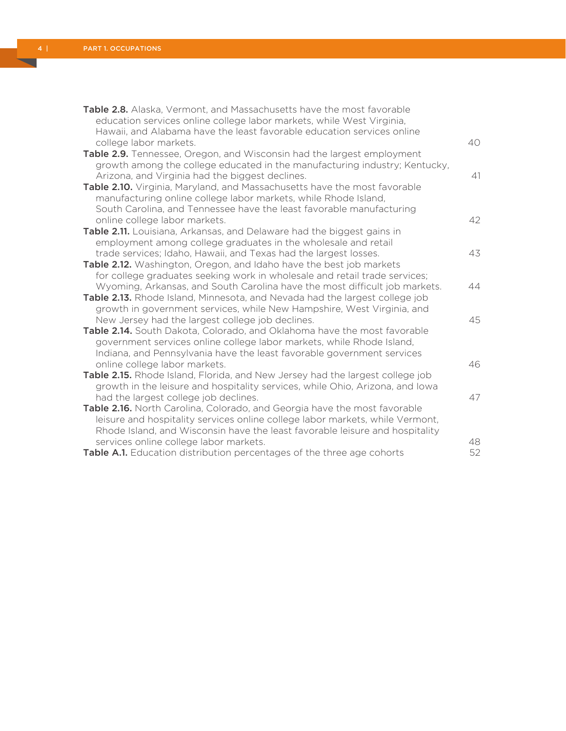| Table 2.8. Alaska, Vermont, and Massachusetts have the most favorable<br>education services online college labor markets, while West Virginia,<br>Hawaii, and Alabama have the least favorable education services online<br>college labor markets.                              | 40       |
|---------------------------------------------------------------------------------------------------------------------------------------------------------------------------------------------------------------------------------------------------------------------------------|----------|
| Table 2.9. Tennessee, Oregon, and Wisconsin had the largest employment<br>growth among the college educated in the manufacturing industry; Kentucky,<br>Arizona, and Virginia had the biggest declines.                                                                         | 41       |
| Table 2.10. Virginia, Maryland, and Massachusetts have the most favorable<br>manufacturing online college labor markets, while Rhode Island,<br>South Carolina, and Tennessee have the least favorable manufacturing                                                            |          |
| online college labor markets.<br>Table 2.11. Louisiana, Arkansas, and Delaware had the biggest gains in<br>employment among college graduates in the wholesale and retail                                                                                                       | 42<br>43 |
| trade services; Idaho, Hawaii, and Texas had the largest losses.<br>Table 2.12. Washington, Oregon, and Idaho have the best job markets<br>for college graduates seeking work in wholesale and retail trade services;                                                           |          |
| Wyoming, Arkansas, and South Carolina have the most difficult job markets.<br>Table 2.13. Rhode Island, Minnesota, and Nevada had the largest college job<br>growth in government services, while New Hampshire, West Virginia, and                                             | 44       |
| New Jersey had the largest college job declines.<br>Table 2.14. South Dakota, Colorado, and Oklahoma have the most favorable<br>government services online college labor markets, while Rhode Island,<br>Indiana, and Pennsylvania have the least favorable government services | 45       |
| online college labor markets.<br>Table 2.15. Rhode Island, Florida, and New Jersey had the largest college job<br>growth in the leisure and hospitality services, while Ohio, Arizona, and lowa                                                                                 | 46       |
| had the largest college job declines.<br>Table 2.16. North Carolina, Colorado, and Georgia have the most favorable<br>leisure and hospitality services online college labor markets, while Vermont,                                                                             | 47       |
| Rhode Island, and Wisconsin have the least favorable leisure and hospitality<br>services online college labor markets.<br>Table A.1. Education distribution percentages of the three age cohorts                                                                                | 48<br>52 |

 $\overline{\phantom{0}}$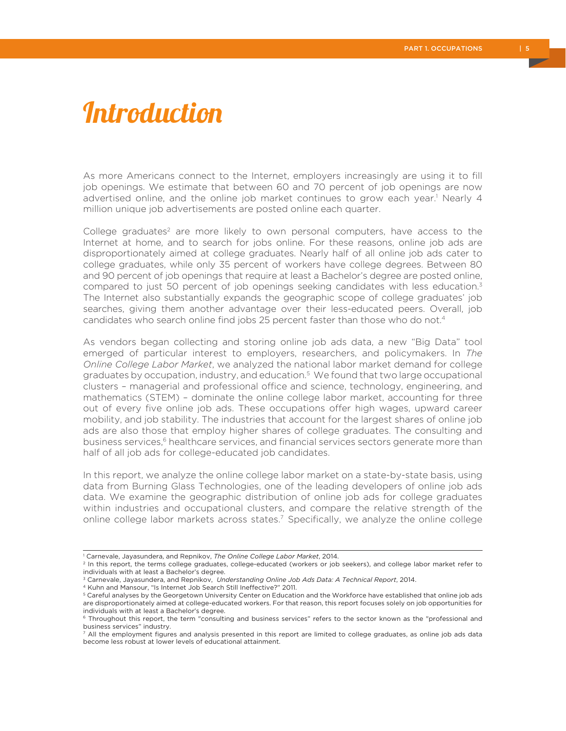# Introduction

As more Americans connect to the Internet, employers increasingly are using it to fill job openings. We estimate that between 60 and 70 percent of job openings are now advertised online, and the online job market continues to grow each year.<sup>1</sup> Nearly 4 million unique job advertisements are posted online each quarter.

College graduates<sup>2</sup> are more likely to own personal computers, have access to the Internet at home, and to search for jobs online. For these reasons, online job ads are disproportionately aimed at college graduates. Nearly half of all online job ads cater to college graduates, while only 35 percent of workers have college degrees. Between 80 and 90 percent of job openings that require at least a Bachelor's degree are posted online, compared to just 50 percent of job openings seeking candidates with less education.<sup>3</sup> The Internet also substantially expands the geographic scope of college graduates' job searches, giving them another advantage over their less-educated peers. Overall, job candidates who search online find jobs 25 percent faster than those who do not.<sup>4</sup>

As vendors began collecting and storing online job ads data, a new "Big Data" tool emerged of particular interest to employers, researchers, and policymakers. In *The Online College Labor Market*, we analyzed the national labor market demand for college graduates by occupation, industry, and education.<sup>5</sup> We found that two large occupational clusters – managerial and professional office and science, technology, engineering, and mathematics (STEM) – dominate the online college labor market, accounting for three out of every five online job ads. These occupations offer high wages, upward career mobility, and job stability. The industries that account for the largest shares of online job ads are also those that employ higher shares of college graduates. The consulting and business services,<sup>6</sup> healthcare services, and financial services sectors generate more than half of all job ads for college-educated job candidates.

In this report, we analyze the online college labor market on a state-by-state basis, using data from Burning Glass Technologies, one of the leading developers of online job ads data. We examine the geographic distribution of online job ads for college graduates within industries and occupational clusters, and compare the relative strength of the online college labor markets across states.<sup>7</sup> Specifically, we analyze the online college

<sup>1</sup> Carnevale, Jayasundera, and Repnikov, *The Online College Labor Market*, 2014.

<sup>&</sup>lt;sup>2</sup> In this report, the terms college graduates, college-educated (workers or job seekers), and college labor market refer to individuals with at least a Bachelor's degree.

<sup>&</sup>lt;sup>3</sup> Carnevale, Jayasundera, and Repnikov, *Understanding Online Job Ads Data: A Technical Report*, 2014.<br><sup>4</sup> Kuhn and Mansour, "Is Internet Job Search Still Ineffective?" 2011.

<sup>5</sup> Careful analyses by the Georgetown University Center on Education and the Workforce have established that online job ads are disproportionately aimed at college-educated workers. For that reason, this report focuses solely on job opportunities for individuals with at least a Bachelor's degree.

<sup>6</sup> Throughout this report, the term "consulting and business services" refers to the sector known as the "professional and business services" industry.

<sup>7</sup> All the employment figures and analysis presented in this report are limited to college graduates, as online job ads data become less robust at lower levels of educational attainment.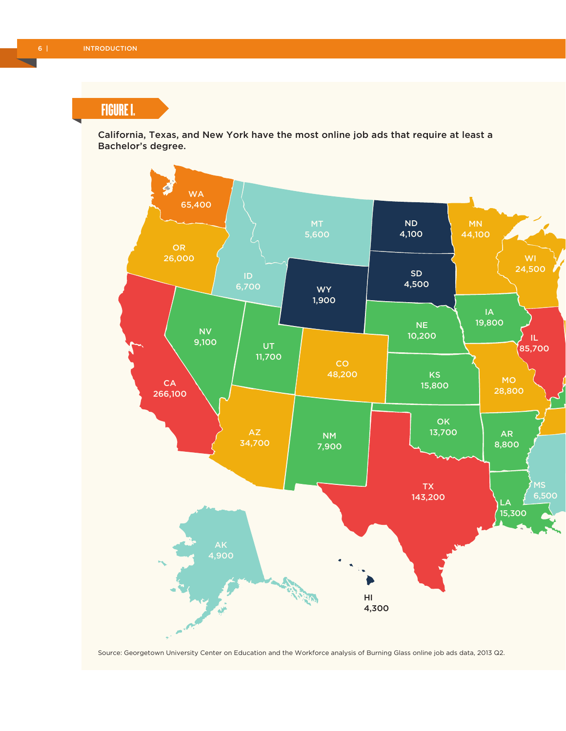FIGURE I.

California, Texas, and New York have the most online job ads that require at least a Bachelor's degree.



Source: Georgetown University Center on Education and the Workforce analysis of Burning Glass online job ads data, 2013 Q2.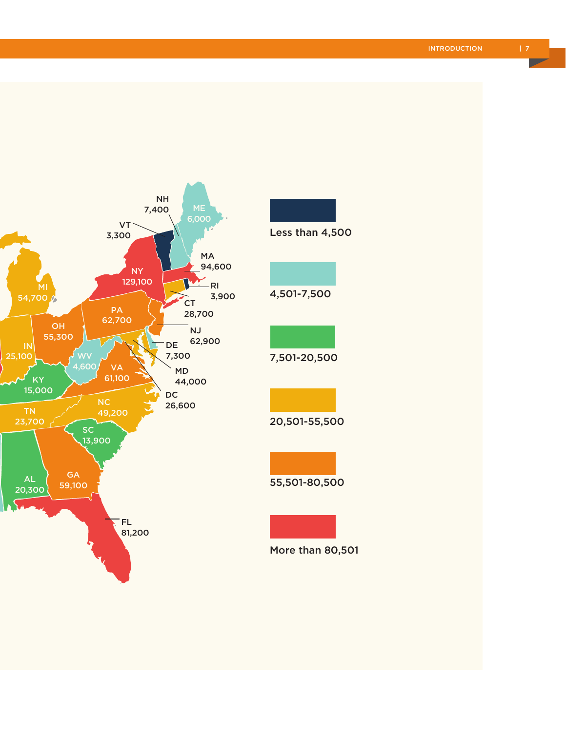

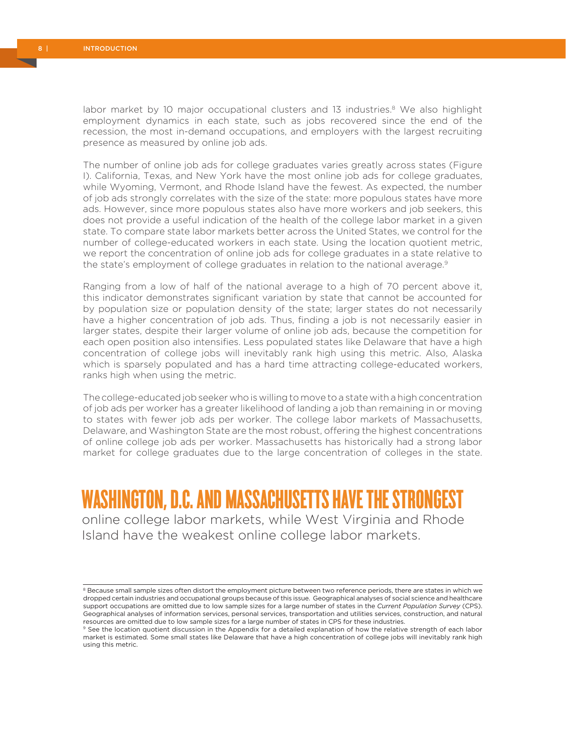labor market by 10 major occupational clusters and 13 industries.<sup>8</sup> We also highlight employment dynamics in each state, such as jobs recovered since the end of the recession, the most in-demand occupations, and employers with the largest recruiting presence as measured by online job ads.

The number of online job ads for college graduates varies greatly across states (Figure I). California, Texas, and New York have the most online job ads for college graduates, while Wyoming, Vermont, and Rhode Island have the fewest. As expected, the number of job ads strongly correlates with the size of the state: more populous states have more ads. However, since more populous states also have more workers and job seekers, this does not provide a useful indication of the health of the college labor market in a given state. To compare state labor markets better across the United States, we control for the number of college-educated workers in each state. Using the location quotient metric, we report the concentration of online job ads for college graduates in a state relative to the state's employment of college graduates in relation to the national average.<sup>9</sup>

Ranging from a low of half of the national average to a high of 70 percent above it, this indicator demonstrates significant variation by state that cannot be accounted for by population size or population density of the state; larger states do not necessarily have a higher concentration of job ads. Thus, finding a job is not necessarily easier in larger states, despite their larger volume of online job ads, because the competition for each open position also intensifies. Less populated states like Delaware that have a high concentration of college jobs will inevitably rank high using this metric. Also, Alaska which is sparsely populated and has a hard time attracting college-educated workers, ranks high when using the metric.

The college-educated job seeker who is willing to move to a state with a high concentration of job ads per worker has a greater likelihood of landing a job than remaining in or moving to states with fewer job ads per worker. The college labor markets of Massachusetts, Delaware, and Washington State are the most robust, offering the highest concentrations of online college job ads per worker. Massachusetts has historically had a strong labor market for college graduates due to the large concentration of colleges in the state.

# WASHINGTON, D.C. AND MASSACHUSETTS HAVE THE STRONGEST

online college labor markets, while West Virginia and Rhode Island have the weakest online college labor markets.

<sup>&</sup>lt;sup>8</sup> Because small sample sizes often distort the employment picture between two reference periods, there are states in which we dropped certain industries and occupational groups because of this issue. Geographical analyses of social science and healthcare support occupations are omitted due to low sample sizes for a large number of states in the *Current Population Survey* (CPS). Geographical analyses of information services, personal services, transportation and utilities services, construction, and natural resources are omitted due to low sample sizes for a large number of states in CPS for these industries.

<sup>&</sup>lt;sup>9</sup> See the location quotient discussion in the Appendix for a detailed explanation of how the relative strength of each labor market is estimated. Some small states like Delaware that have a high concentration of college jobs will inevitably rank high using this metric.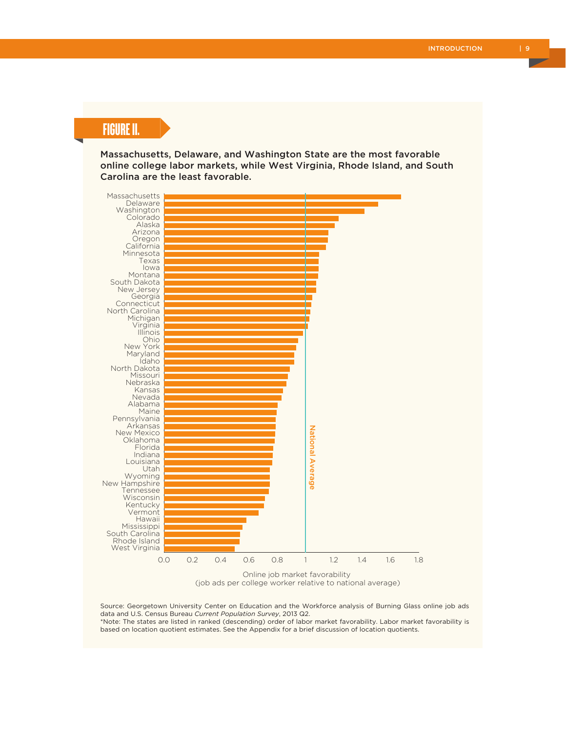# FIGURE II.

Massachusetts, Delaware, and Washington State are the most favorable online college labor markets, while West Virginia, Rhode Island, and South Carolina are the least favorable.



(job ads per college worker relative to national average)

Source: Georgetown University Center on Education and the Workforce analysis of Burning Glass online job ads data and U.S. Census Bureau *Current Population Survey*, 2013 Q2.

\*Note: The states are listed in ranked (descending) order of labor market favorability. Labor market favorability is based on location quotient estimates. See the Appendix for a brief discussion of location quotients.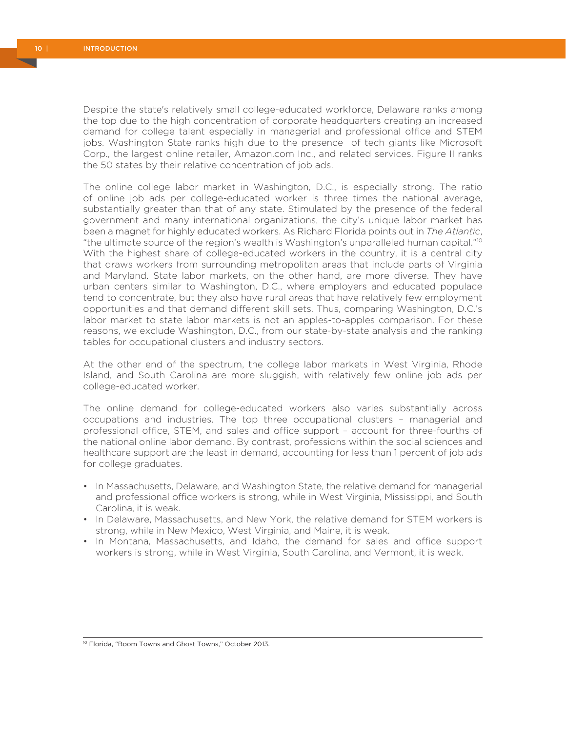Despite the state's relatively small college-educated workforce, Delaware ranks among the top due to the high concentration of corporate headquarters creating an increased demand for college talent especially in managerial and professional office and STEM jobs. Washington State ranks high due to the presence of tech giants like Microsoft Corp., the largest online retailer, Amazon.com Inc., and related services. Figure II ranks the 50 states by their relative concentration of job ads.

The online college labor market in Washington, D.C., is especially strong. The ratio of online job ads per college-educated worker is three times the national average, substantially greater than that of any state. Stimulated by the presence of the federal government and many international organizations, the city's unique labor market has been a magnet for highly educated workers. As Richard Florida points out in *The Atlantic*, "the ultimate source of the region's wealth is Washington's unparalleled human capital."10 With the highest share of college-educated workers in the country, it is a central city that draws workers from surrounding metropolitan areas that include parts of Virginia and Maryland. State labor markets, on the other hand, are more diverse. They have urban centers similar to Washington, D.C., where employers and educated populace tend to concentrate, but they also have rural areas that have relatively few employment opportunities and that demand different skill sets. Thus, comparing Washington, D.C.'s labor market to state labor markets is not an apples-to-apples comparison. For these reasons, we exclude Washington, D.C., from our state-by-state analysis and the ranking tables for occupational clusters and industry sectors.

At the other end of the spectrum, the college labor markets in West Virginia, Rhode Island, and South Carolina are more sluggish, with relatively few online job ads per college-educated worker.

The online demand for college-educated workers also varies substantially across occupations and industries. The top three occupational clusters – managerial and professional office, STEM, and sales and office support – account for three-fourths of the national online labor demand. By contrast, professions within the social sciences and healthcare support are the least in demand, accounting for less than 1 percent of job ads for college graduates.

- In Massachusetts, Delaware, and Washington State, the relative demand for managerial and professional office workers is strong, while in West Virginia, Mississippi, and South Carolina, it is weak.
- In Delaware, Massachusetts, and New York, the relative demand for STEM workers is strong, while in New Mexico, West Virginia, and Maine, it is weak.
- In Montana, Massachusetts, and Idaho, the demand for sales and office support workers is strong, while in West Virginia, South Carolina, and Vermont, it is weak.

<sup>10</sup> Florida, "Boom Towns and Ghost Towns," October 2013.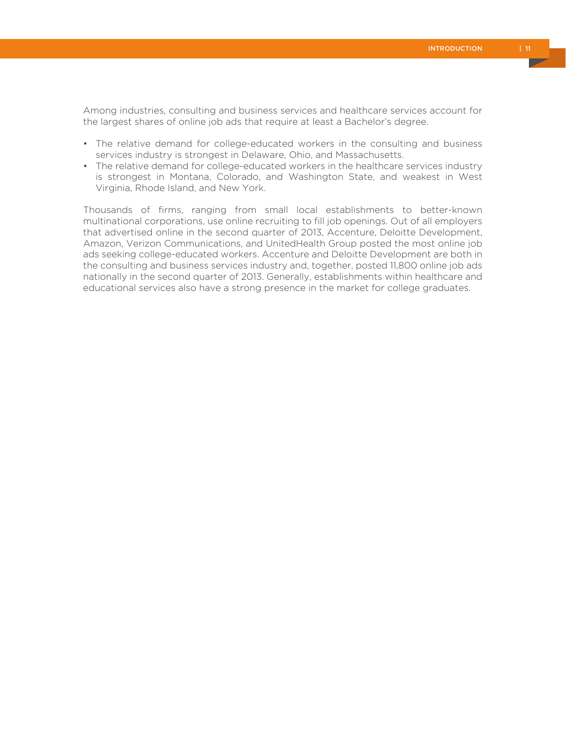Among industries, consulting and business services and healthcare services account for the largest shares of online job ads that require at least a Bachelor's degree.

- The relative demand for college-educated workers in the consulting and business services industry is strongest in Delaware, Ohio, and Massachusetts.
- The relative demand for college-educated workers in the healthcare services industry is strongest in Montana, Colorado, and Washington State, and weakest in West Virginia, Rhode Island, and New York.

Thousands of firms, ranging from small local establishments to better-known multinational corporations, use online recruiting to fill job openings. Out of all employers that advertised online in the second quarter of 2013, Accenture, Deloitte Development, Amazon, Verizon Communications, and UnitedHealth Group posted the most online job ads seeking college-educated workers. Accenture and Deloitte Development are both in the consulting and business services industry and, together, posted 11,800 online job ads nationally in the second quarter of 2013. Generally, establishments within healthcare and educational services also have a strong presence in the market for college graduates.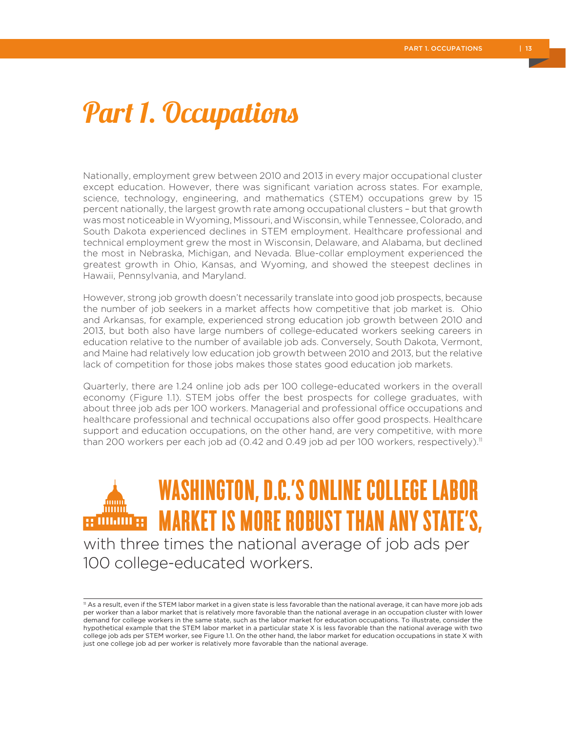# Part 1. Occupations

Nationally, employment grew between 2010 and 2013 in every major occupational cluster except education. However, there was significant variation across states. For example, science, technology, engineering, and mathematics (STEM) occupations grew by 15 percent nationally, the largest growth rate among occupational clusters – but that growth was most noticeable in Wyoming, Missouri, and Wisconsin, while Tennessee, Colorado, and South Dakota experienced declines in STEM employment. Healthcare professional and technical employment grew the most in Wisconsin, Delaware, and Alabama, but declined the most in Nebraska, Michigan, and Nevada. Blue-collar employment experienced the greatest growth in Ohio, Kansas, and Wyoming, and showed the steepest declines in Hawaii, Pennsylvania, and Maryland.

However, strong job growth doesn't necessarily translate into good job prospects, because the number of job seekers in a market affects how competitive that job market is. Ohio and Arkansas, for example, experienced strong education job growth between 2010 and 2013, but both also have large numbers of college-educated workers seeking careers in education relative to the number of available job ads. Conversely, South Dakota, Vermont, and Maine had relatively low education job growth between 2010 and 2013, but the relative lack of competition for those jobs makes those states good education job markets.

Quarterly, there are 1.24 online job ads per 100 college-educated workers in the overall economy (Figure 1.1). STEM jobs offer the best prospects for college graduates, with about three job ads per 100 workers. Managerial and professional office occupations and healthcare professional and technical occupations also offer good prospects. Healthcare support and education occupations, on the other hand, are very competitive, with more than 200 workers per each job ad (0.42 and 0.49 job ad per 100 workers, respectively).<sup>11</sup>

WASHINGTON, D.C.'S ONLINE COLLEGE LABOR MARKET IS MORE ROBUST THAN ANY STATE'S, g www.s with three times the national average of job ads per 100 college-educated workers.

<sup>11</sup> As a result, even if the STEM labor market in a given state is less favorable than the national average, it can have more job ads per worker than a labor market that is relatively more favorable than the national average in an occupation cluster with lower demand for college workers in the same state, such as the labor market for education occupations. To illustrate, consider the hypothetical example that the STEM labor market in a particular state X is less favorable than the national average with two college job ads per STEM worker, see Figure 1.1. On the other hand, the labor market for education occupations in state X with just one college job ad per worker is relatively more favorable than the national average.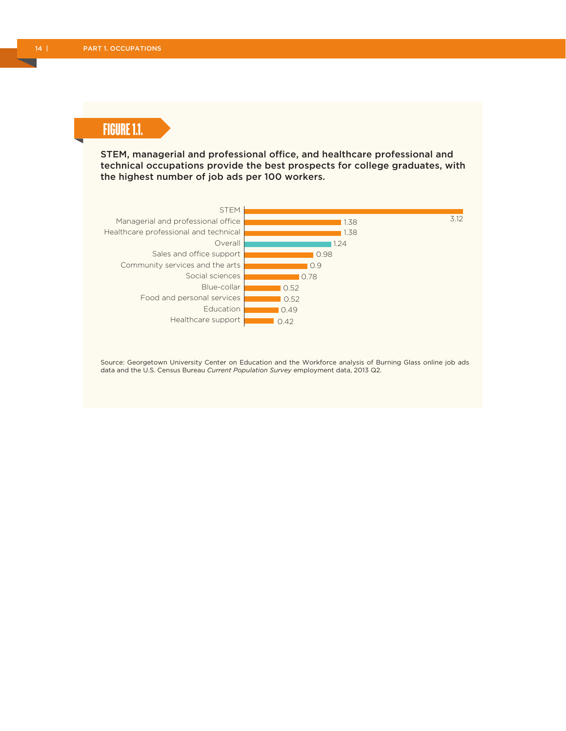# FIGURE 1.1.

STEM, managerial and professional office, and healthcare professional and technical occupations provide the best prospects for college graduates, with the highest number of job ads per 100 workers.



Source: Georgetown University Center on Education and the Workforce analysis of Burning Glass online job ads data and the U.S. Census Bureau *Current Population Survey* employment data, 2013 Q2.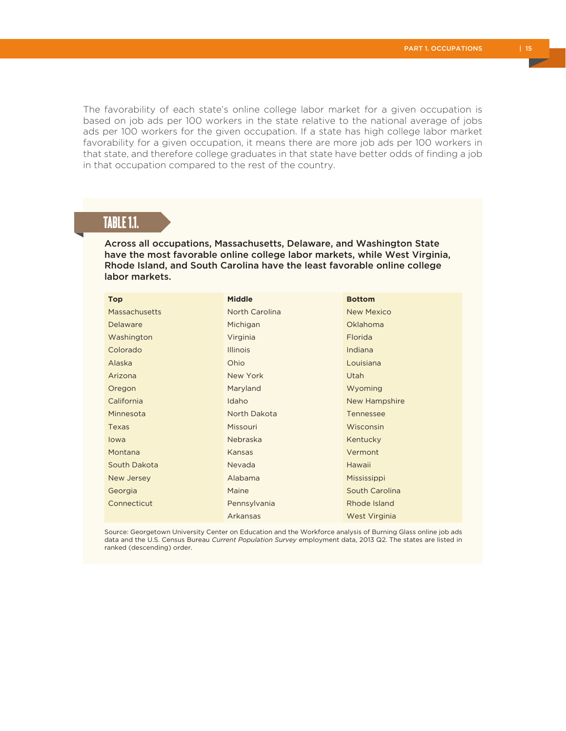The favorability of each state's online college labor market for a given occupation is based on job ads per 100 workers in the state relative to the national average of jobs ads per 100 workers for the given occupation. If a state has high college labor market favorability for a given occupation, it means there are more job ads per 100 workers in that state, and therefore college graduates in that state have better odds of finding a job in that occupation compared to the rest of the country.

## TABLE 1.1.

Across all occupations, Massachusetts, Delaware, and Washington State have the most favorable online college labor markets, while West Virginia, Rhode Island, and South Carolina have the least favorable online college labor markets.

| <b>Top</b>           | <b>Middle</b>         | <b>Bottom</b>     |
|----------------------|-----------------------|-------------------|
| <b>Massachusetts</b> | <b>North Carolina</b> | <b>New Mexico</b> |
| Delaware             | Michigan              | Oklahoma          |
| Washington           | Virginia              | <b>Florida</b>    |
| Colorado             | <b>Illinois</b>       | Indiana           |
| Alaska               | Ohio                  | Louisiana         |
| Arizona              | New York              | Utah              |
| Oregon               | Maryland              | Wyoming           |
| California           | Idaho                 | New Hampshire     |
| Minnesota            | North Dakota          | Tennessee         |
| <b>Texas</b>         | Missouri              | Wisconsin         |
| lowa                 | Nebraska              | Kentucky          |
| Montana              | Kansas                | Vermont           |
| South Dakota         | Nevada                | Hawaii            |
| New Jersey           | Alabama               | Mississippi       |
| Georgia              | Maine                 | South Carolina    |
| Connecticut          | Pennsylvania          | Rhode Island      |
|                      | Arkansas              | West Virginia     |

Source: Georgetown University Center on Education and the Workforce analysis of Burning Glass online job ads data and the U.S. Census Bureau *Current Population Survey* employment data, 2013 Q2. The states are listed in ranked (descending) order.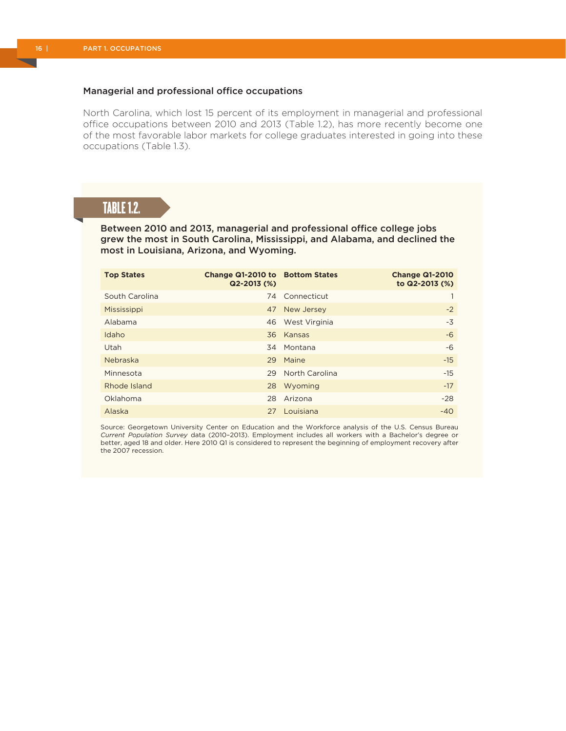#### Managerial and professional office occupations

North Carolina, which lost 15 percent of its employment in managerial and professional office occupations between 2010 and 2013 (Table 1.2), has more recently become one of the most favorable labor markets for college graduates interested in going into these occupations (Table 1.3).

# TABLE 1.2.

Between 2010 and 2013, managerial and professional office college jobs grew the most in South Carolina, Mississippi, and Alabama, and declined the most in Louisiana, Arizona, and Wyoming.

| <b>Top States</b> | Change Q1-2010 to Bottom States<br>$Q2 - 2013$ (%) |                | <b>Change Q1-2010</b><br>to Q2-2013 (%) |
|-------------------|----------------------------------------------------|----------------|-----------------------------------------|
| South Carolina    |                                                    | 74 Connecticut |                                         |
| Mississippi       |                                                    | 47 New Jersey  | $-2$                                    |
| Alabama           | 46                                                 | West Virginia  | $-3$                                    |
| Idaho             |                                                    | 36 Kansas      | -6                                      |
| Utah              | 34                                                 | Montana        | $-6$                                    |
| Nebraska          |                                                    | 29 Maine       | $-15$                                   |
| Minnesota         | 29                                                 | North Carolina | $-15$                                   |
| Rhode Island      |                                                    | 28 Wyoming     | $-17$                                   |
| Oklahoma          | 28                                                 | Arizona        | $-28$                                   |
| Alaska            | 27                                                 | Louisiana      | $-40$                                   |

Source: Georgetown University Center on Education and the Workforce analysis of the U.S. Census Bureau *Current Population Survey* data (2010–2013). Employment includes all workers with a Bachelor's degree or better, aged 18 and older. Here 2010 Q1 is considered to represent the beginning of employment recovery after the 2007 recession.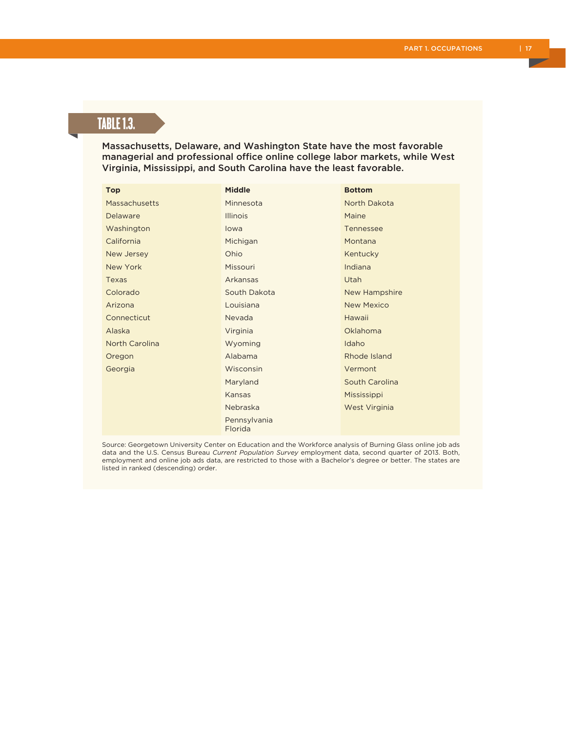# TABLE 1.3.

Massachusetts, Delaware, and Washington State have the most favorable managerial and professional office online college labor markets, while West Virginia, Mississippi, and South Carolina have the least favorable.

| Top                   | <b>Middle</b>           | <b>Bottom</b>     |
|-----------------------|-------------------------|-------------------|
| Massachusetts         | Minnesota               | North Dakota      |
| Delaware              | <b>Illinois</b>         | Maine             |
| Washington            | lowa                    | Tennessee         |
| California            | Michigan                | Montana           |
| New Jersey            | Ohio                    | Kentucky          |
| New York              | Missouri                | Indiana           |
| Texas                 | Arkansas                | Utah              |
| Colorado              | South Dakota            | New Hampshire     |
| Arizona               | Louisiana               | <b>New Mexico</b> |
| Connecticut           | Nevada                  | Hawaii            |
| Alaska                | Virginia                | Oklahoma          |
| <b>North Carolina</b> | Wyoming                 | Idaho             |
| Oregon                | Alabama                 | Rhode Island      |
| Georgia               | Wisconsin               | Vermont           |
|                       | Maryland                | South Carolina    |
|                       | Kansas                  | Mississippi       |
|                       | Nebraska                | West Virginia     |
|                       | Pennsylvania<br>Florida |                   |

Source: Georgetown University Center on Education and the Workforce analysis of Burning Glass online job ads data and the U.S. Census Bureau *Current Population Survey* employment data, second quarter of 2013. Both, employment and online job ads data, are restricted to those with a Bachelor's degree or better. The states are listed in ranked (descending) order.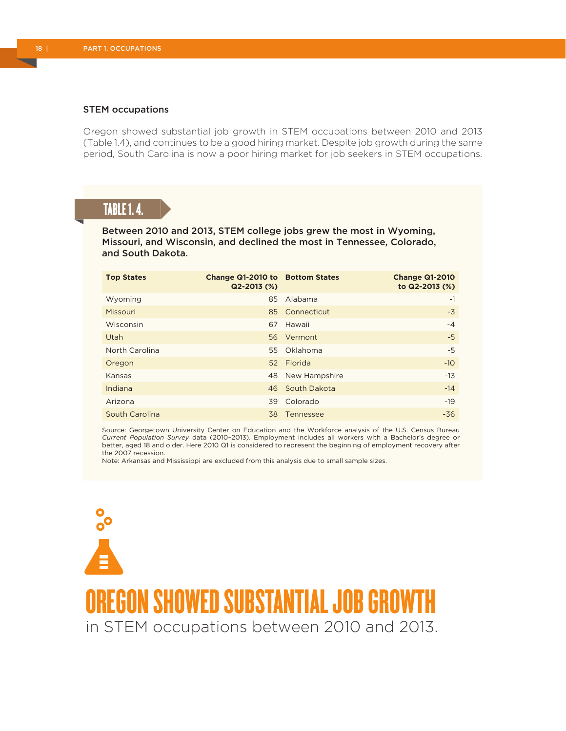#### STEM occupations

Oregon showed substantial job growth in STEM occupations between 2010 and 2013 (Table 1.4), and continues to be a good hiring market. Despite job growth during the same period, South Carolina is now a poor hiring market for job seekers in STEM occupations.

## TABLE 1. 4.

Between 2010 and 2013, STEM college jobs grew the most in Wyoming, Missouri, and Wisconsin, and declined the most in Tennessee, Colorado, and South Dakota.

| <b>Top States</b> | Change Q1-2010 to Bottom States<br>$Q2 - 2013$ (%) |                  | <b>Change Q1-2010</b><br>to Q2-2013 (%) |
|-------------------|----------------------------------------------------|------------------|-----------------------------------------|
| Wyoming           | 85                                                 | Alabama          | $-1$                                    |
| Missouri          |                                                    | 85 Connecticut   | $-3$                                    |
| Wisconsin         | 67                                                 | Hawaii           | $-4$                                    |
| Utah              |                                                    | 56 Vermont       | $-5$                                    |
| North Carolina    |                                                    | 55 Oklahoma      | -5                                      |
| Oregon            |                                                    | 52 Florida       | $-10$                                   |
| Kansas            |                                                    | 48 New Hampshire | $-13$                                   |
| Indiana           |                                                    | 46 South Dakota  | $-14$                                   |
| Arizona           | 39                                                 | Colorado         | $-19$                                   |
| South Carolina    | 38                                                 | Tennessee        | $-36$                                   |

Source: Georgetown University Center on Education and the Workforce analysis of the U.S. Census Bureau *Current Population Survey* data (2010–2013). Employment includes all workers with a Bachelor's degree or better, aged 18 and older. Here 2010 Q1 is considered to represent the beginning of employment recovery after the 2007 recession.

Note: Arkansas and Mississippi are excluded from this analysis due to small sample sizes.

OREGON SHOWED SUBSTANTIAL JOB GROWT in STEM occupations between 2010 and 2013.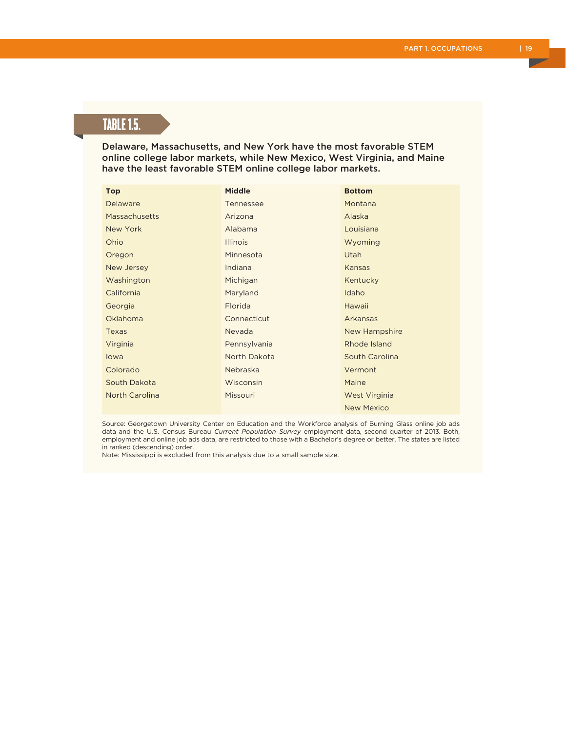# TABLE 1.5.

Delaware, Massachusetts, and New York have the most favorable STEM online college labor markets, while New Mexico, West Virginia, and Maine have the least favorable STEM online college labor markets.

| <b>Top</b>            | <b>Middle</b>   | <b>Bottom</b>     |
|-----------------------|-----------------|-------------------|
| Delaware              | Tennessee       | Montana           |
| Massachusetts         | Arizona         | Alaska            |
| New York              | Alabama         | Louisiana         |
| Ohio                  | <b>Illinois</b> | Wyoming           |
| Oregon                | Minnesota       | Utah              |
| New Jersey            | Indiana         | Kansas            |
| Washington            | Michigan        | Kentucky          |
| California            | Maryland        | Idaho             |
| Georgia               | Florida         | Hawaii            |
| Oklahoma              | Connecticut     | Arkansas          |
| Texas                 | Nevada          | New Hampshire     |
| Virginia              | Pennsylvania    | Rhode Island      |
| lowa                  | North Dakota    | South Carolina    |
| Colorado              | Nebraska        | Vermont           |
| South Dakota          | Wisconsin       | Maine             |
| <b>North Carolina</b> | Missouri        | West Virginia     |
|                       |                 | <b>New Mexico</b> |

Source: Georgetown University Center on Education and the Workforce analysis of Burning Glass online job ads data and the U.S. Census Bureau *Current Population Survey* employment data, second quarter of 2013. Both, employment and online job ads data, are restricted to those with a Bachelor's degree or better. The states are listed in ranked (descending) order.

Note: Mississippi is excluded from this analysis due to a small sample size.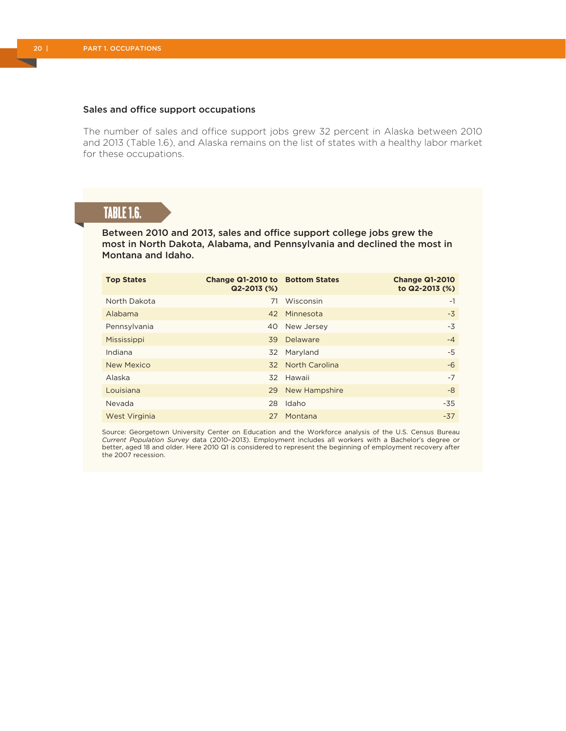#### Sales and office support occupations

The number of sales and office support jobs grew 32 percent in Alaska between 2010 and 2013 (Table 1.6), and Alaska remains on the list of states with a healthy labor market for these occupations.

## TABLE 1.6.

Between 2010 and 2013, sales and office support college jobs grew the most in North Dakota, Alabama, and Pennsylvania and declined the most in Montana and Idaho.

| <b>Top States</b> | Change Q1-2010 to Bottom States<br>$Q2 - 2013$ (%) |                   | <b>Change Q1-2010</b><br>to Q2-2013 (%) |
|-------------------|----------------------------------------------------|-------------------|-----------------------------------------|
| North Dakota      | 71                                                 | Wisconsin         | $-1$                                    |
| Alabama           | 42                                                 | Minnesota         | $-3$                                    |
| Pennsylvania      | 40                                                 | New Jersey        | -3                                      |
| Mississippi       | 39                                                 | Delaware          | $-4$                                    |
| Indiana           | 32                                                 | Maryland          | -5                                      |
| New Mexico        |                                                    | 32 North Carolina | -6                                      |
| Alaska            | 32                                                 | Hawaii            | $-7$                                    |
| Louisiana         |                                                    | 29 New Hampshire  | -8                                      |
| Nevada            | 28                                                 | Idaho             | $-35$                                   |
| West Virginia     | 27                                                 | Montana           | $-37$                                   |

Source: Georgetown University Center on Education and the Workforce analysis of the U.S. Census Bureau *Current Population Survey* data (2010–2013). Employment includes all workers with a Bachelor's degree or better, aged 18 and older. Here 2010 Q1 is considered to represent the beginning of employment recovery after the 2007 recession.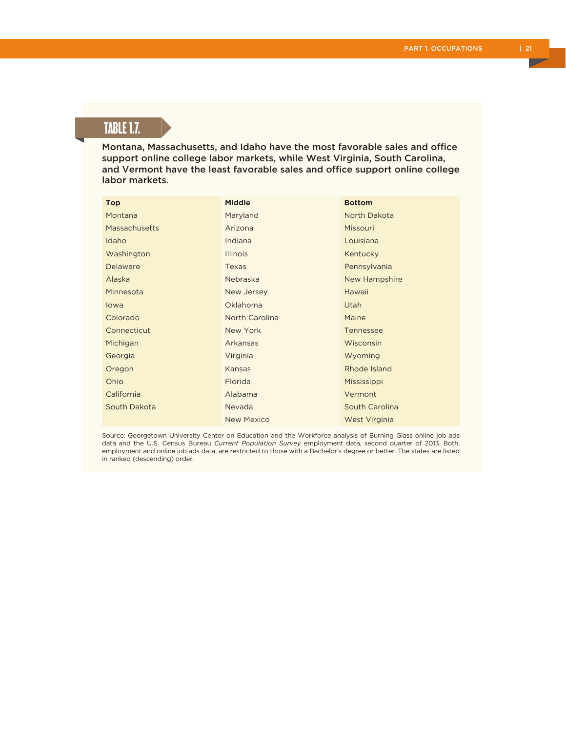# TABLE 1.7.

Montana, Massachusetts, and Idaho have the most favorable sales and office support online college labor markets, while West Virginia, South Carolina, and Vermont have the least favorable sales and office support online college labor markets.

| <b>Top</b>    | <b>Middle</b>   | <b>Bottom</b>    |
|---------------|-----------------|------------------|
| Montana       | Maryland        | North Dakota     |
| Massachusetts | Arizona         | Missouri         |
| Idaho         | Indiana         | Louisiana        |
| Washington    | <b>Illinois</b> | Kentucky         |
| Delaware      | Texas           | Pennsylvania     |
| Alaska        | Nebraska        | New Hampshire    |
| Minnesota     | New Jersey      | Hawaii           |
| lowa          | Oklahoma        | Utah             |
| Colorado      | North Carolina  | Maine            |
| Connecticut   | New York        | <b>Tennessee</b> |
| Michigan      | Arkansas        | Wisconsin        |
| Georgia       | Virginia        | Wyoming          |
| Oregon        | Kansas          | Rhode Island     |
| Ohio          | Florida         | Mississippi      |
| California    | Alabama         | Vermont          |
| South Dakota  | Nevada          | South Carolina   |
|               | New Mexico      | West Virginia    |

Source: Georgetown University Center on Education and the Workforce analysis of Burning Glass online job ads data and the U.S. Census Bureau *Current Population Survey* employment data, second quarter of 2013. Both, employment and online job ads data, are restricted to those with a Bachelor's degree or better. The states are listed in ranked (descending) order.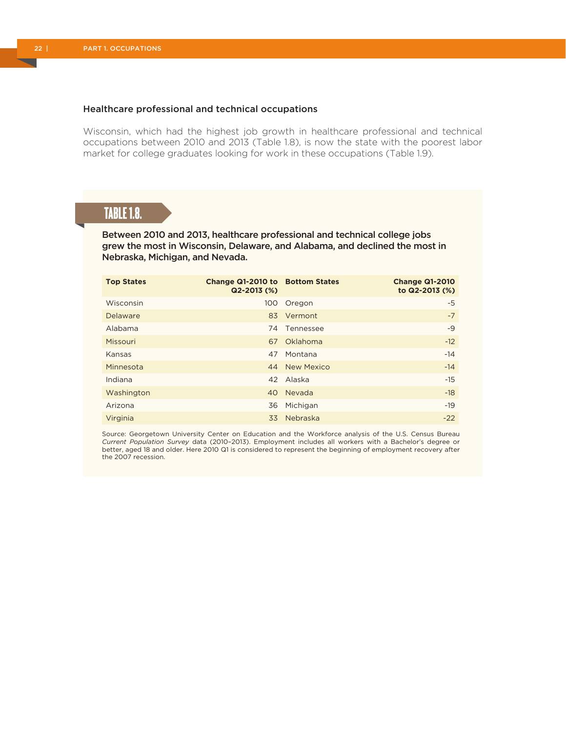#### Healthcare professional and technical occupations

Wisconsin, which had the highest job growth in healthcare professional and technical occupations between 2010 and 2013 (Table 1.8), is now the state with the poorest labor market for college graduates looking for work in these occupations (Table 1.9).

### TABLE 1.8.

Between 2010 and 2013, healthcare professional and technical college jobs grew the most in Wisconsin, Delaware, and Alabama, and declined the most in Nebraska, Michigan, and Nevada.

| <b>Top States</b> | Change Q1-2010 to Bottom States<br>$Q2 - 2013$ (%) |               | <b>Change Q1-2010</b><br>to Q2-2013 (%) |
|-------------------|----------------------------------------------------|---------------|-----------------------------------------|
| Wisconsin         | 100                                                | Oregon        | -5                                      |
| Delaware          | 83                                                 | Vermont       | $-7$                                    |
| Alabama           |                                                    | 74 Tennessee  | $-9$                                    |
| Missouri          |                                                    | 67 Oklahoma   | $-12$                                   |
| Kansas            | 47                                                 | Montana       | $-14$                                   |
| Minnesota         |                                                    | 44 New Mexico | $-14$                                   |
| Indiana           | 42                                                 | Alaska        | $-15$                                   |
| Washington        |                                                    | 40 Nevada     | $-18$                                   |
| Arizona           | 36                                                 | Michigan      | $-19$                                   |
| Virginia          |                                                    | 33 Nebraska   | $-22$                                   |

Source: Georgetown University Center on Education and the Workforce analysis of the U.S. Census Bureau *Current Population Survey* data (2010–2013). Employment includes all workers with a Bachelor's degree or better, aged 18 and older. Here 2010 Q1 is considered to represent the beginning of employment recovery after the 2007 recession.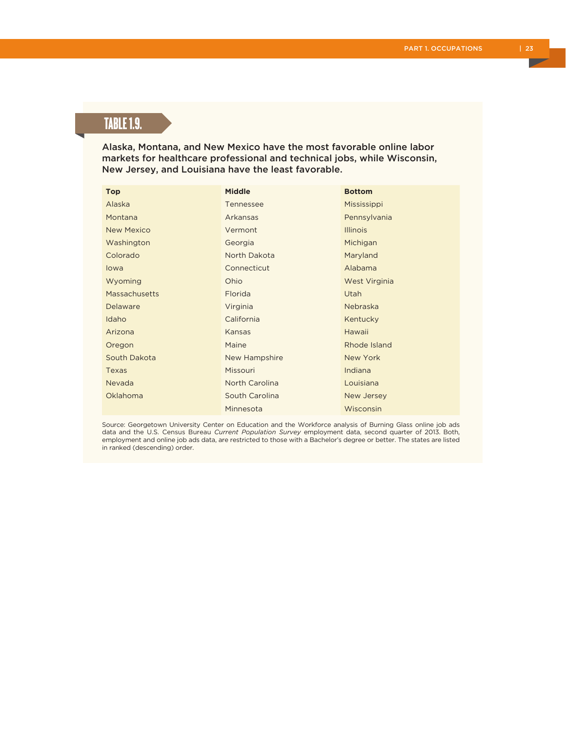# TABLE 1.9.

Alaska, Montana, and New Mexico have the most favorable online labor markets for healthcare professional and technical jobs, while Wisconsin, New Jersey, and Louisiana have the least favorable.

| <b>Top</b>           | <b>Middle</b>  | <b>Bottom</b>   |
|----------------------|----------------|-----------------|
| Alaska               | Tennessee      | Mississippi     |
| Montana              | Arkansas       | Pennsylvania    |
| <b>New Mexico</b>    | Vermont        | <b>Illinois</b> |
| Washington           | Georgia        | Michigan        |
| Colorado             | North Dakota   | Maryland        |
| lowa                 | Connecticut    | Alabama         |
| Wyoming              | Ohio           | West Virginia   |
| <b>Massachusetts</b> | Florida        | Utah            |
| Delaware             | Virginia       | Nebraska        |
| Idaho                | California     | Kentucky        |
| Arizona              | Kansas         | Hawaii          |
| Oregon               | Maine          | Rhode Island    |
| South Dakota         | New Hampshire  | New York        |
| Texas                | Missouri       | Indiana         |
| Nevada               | North Carolina | Louisiana       |
| Oklahoma             | South Carolina | New Jersey      |
|                      | Minnesota      | Wisconsin       |

Source: Georgetown University Center on Education and the Workforce analysis of Burning Glass online job ads data and the U.S. Census Bureau *Current Population Survey* employment data, second quarter of 2013. Both, employment and online job ads data, are restricted to those with a Bachelor's degree or better. The states are listed in ranked (descending) order.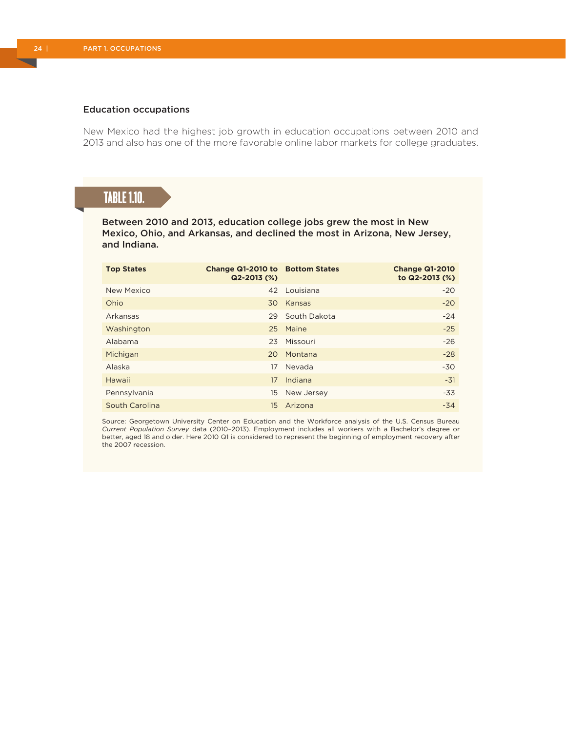#### Education occupations

New Mexico had the highest job growth in education occupations between 2010 and 2013 and also has one of the more favorable online labor markets for college graduates.

# TABLE 1.10.

Between 2010 and 2013, education college jobs grew the most in New Mexico, Ohio, and Arkansas, and declined the most in Arizona, New Jersey, and Indiana.

| <b>Top States</b> | Change Q1-2010 to Bottom States<br>$Q2 - 2013$ (%) |              | <b>Change Q1-2010</b><br>to Q2-2013 (%) |
|-------------------|----------------------------------------------------|--------------|-----------------------------------------|
| New Mexico        | 42                                                 | Louisiana    | $-20$                                   |
| Ohio              | 30                                                 | Kansas       | $-20$                                   |
| Arkansas          | 29                                                 | South Dakota | $-24$                                   |
| Washington        |                                                    | 25 Maine     | $-25$                                   |
| Alabama           | 23                                                 | Missouri     | $-26$                                   |
| Michigan          | 20                                                 | Montana      | $-28$                                   |
| Alaska            | 17                                                 | Nevada       | $-30$                                   |
| Hawaii            | 17                                                 | Indiana      | $-31$                                   |
| Pennsylvania      | 15.                                                | New Jersey   | $-33$                                   |
| South Carolina    | 15                                                 | Arizona      | $-34$                                   |

Source: Georgetown University Center on Education and the Workforce analysis of the U.S. Census Bureau *Current Population Survey* data (2010–2013). Employment includes all workers with a Bachelor's degree or better, aged 18 and older. Here 2010 Q1 is considered to represent the beginning of employment recovery after the 2007 recession.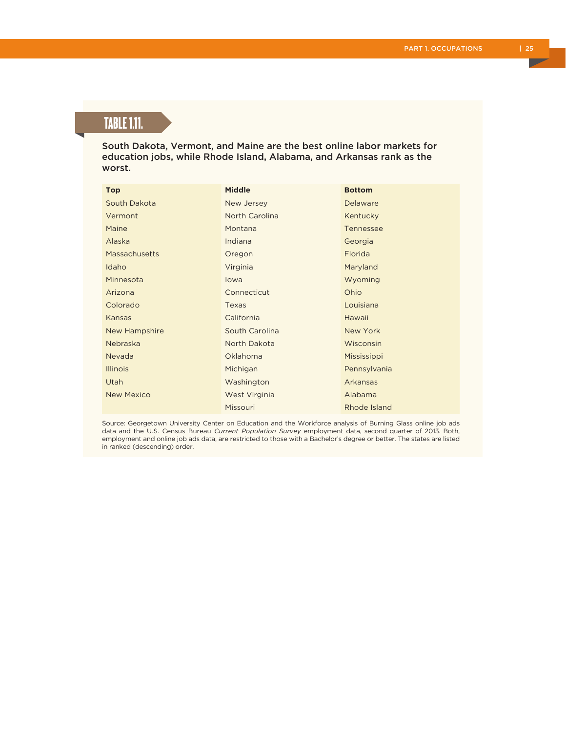# TABLE 1.11.

South Dakota, Vermont, and Maine are the best online labor markets for education jobs, while Rhode Island, Alabama, and Arkansas rank as the worst.

| <b>Top</b>           | <b>Middle</b>  | <b>Bottom</b> |
|----------------------|----------------|---------------|
| South Dakota         | New Jersey     | Delaware      |
| Vermont              | North Carolina | Kentucky      |
| Maine                | Montana        | Tennessee     |
| Alaska               | Indiana        | Georgia       |
| <b>Massachusetts</b> | Oregon         | Florida       |
| Idaho                | Virginia       | Maryland      |
| Minnesota            | lowa           | Wyoming       |
| Arizona              | Connecticut    | Ohio          |
| Colorado             | Texas          | Louisiana     |
| Kansas               | California     | Hawaii        |
| New Hampshire        | South Carolina | New York      |
| Nebraska             | North Dakota   | Wisconsin     |
| Nevada               | Oklahoma       | Mississippi   |
| <b>Illinois</b>      | Michigan       | Pennsylvania  |
| Utah                 | Washington     | Arkansas      |
| <b>New Mexico</b>    | West Virginia  | Alabama       |
|                      | Missouri       | Rhode Island  |

Source: Georgetown University Center on Education and the Workforce analysis of Burning Glass online job ads data and the U.S. Census Bureau *Current Population Survey* employment data, second quarter of 2013. Both, employment and online job ads data, are restricted to those with a Bachelor's degree or better. The states are listed in ranked (descending) order.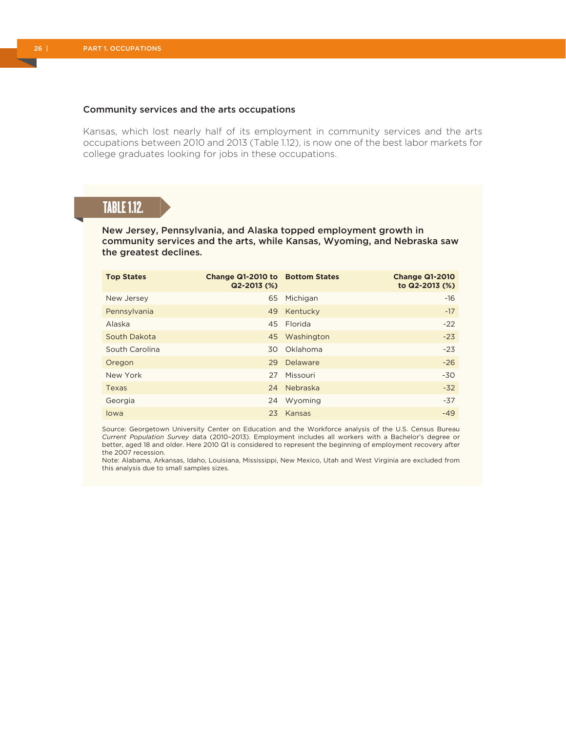#### Community services and the arts occupations

Kansas, which lost nearly half of its employment in community services and the arts occupations between 2010 and 2013 (Table 1.12), is now one of the best labor markets for college graduates looking for jobs in these occupations.

## TABLE 1.12.

New Jersey, Pennsylvania, and Alaska topped employment growth in community services and the arts, while Kansas, Wyoming, and Nebraska saw the greatest declines.

| <b>Top States</b> | Change Q1-2010 to Bottom States<br>$Q2 - 2013$ (%) |               | <b>Change Q1-2010</b><br>to Q2-2013 (%) |
|-------------------|----------------------------------------------------|---------------|-----------------------------------------|
| New Jersey        | 65                                                 | Michigan      | $-16$                                   |
| Pennsylvania      | 49                                                 | Kentucky      | $-17$                                   |
| Alaska            |                                                    | 45 Florida    | $-22$                                   |
| South Dakota      |                                                    | 45 Washington | $-23$                                   |
| South Carolina    |                                                    | 30 Oklahoma   | $-23$                                   |
| Oregon            | 29                                                 | Delaware      | $-26$                                   |
| New York          | 27                                                 | Missouri      | $-30$                                   |
| Texas             |                                                    | 24 Nebraska   | $-32$                                   |
| Georgia           | 24                                                 | Wyoming       | $-37$                                   |
| lowa              | 23                                                 | Kansas        | $-49$                                   |

Source: Georgetown University Center on Education and the Workforce analysis of the U.S. Census Bureau *Current Population Survey* data (2010–2013). Employment includes all workers with a Bachelor's degree or better, aged 18 and older. Here 2010 Q1 is considered to represent the beginning of employment recovery after the 2007 recession.

Note: Alabama, Arkansas, Idaho, Louisiana, Mississippi, New Mexico, Utah and West Virginia are excluded from this analysis due to small samples sizes.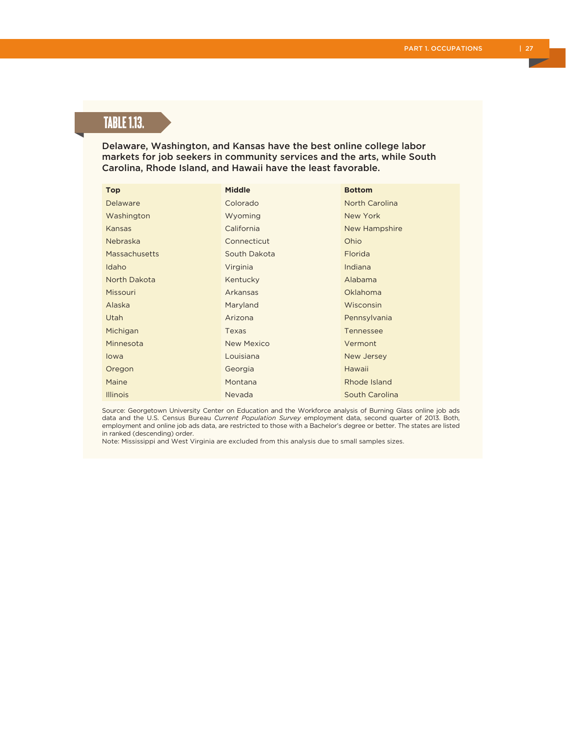# TABLE 1.13.

Delaware, Washington, and Kansas have the best online college labor markets for job seekers in community services and the arts, while South Carolina, Rhode Island, and Hawaii have the least favorable.

| <b>Top</b>      | <b>Middle</b>     | <b>Bottom</b>  |
|-----------------|-------------------|----------------|
| Delaware        | Colorado          | North Carolina |
| Washington      | Wyoming           | New York       |
| Kansas          | California        | New Hampshire  |
| <b>Nebraska</b> | Connecticut       | Ohio           |
| Massachusetts   | South Dakota      | Florida        |
| Idaho           | Virginia          | Indiana        |
| North Dakota    | Kentucky          | Alabama        |
| Missouri        | Arkansas          | Oklahoma       |
| Alaska          | Maryland          | Wisconsin      |
| Utah            | Arizona           | Pennsylvania   |
| Michigan        | Texas             | Tennessee      |
| Minnesota       | <b>New Mexico</b> | Vermont        |
| lowa            | Louisiana         | New Jersey     |
| Oregon          | Georgia           | Hawaii         |
| Maine           | Montana           | Rhode Island   |
| <b>Illinois</b> | Nevada            | South Carolina |

Source: Georgetown University Center on Education and the Workforce analysis of Burning Glass online job ads data and the U.S. Census Bureau *Current Population Survey* employment data, second quarter of 2013. Both, employment and online job ads data, are restricted to those with a Bachelor's degree or better. The states are listed in ranked (descending) order.

Note: Mississippi and West Virginia are excluded from this analysis due to small samples sizes.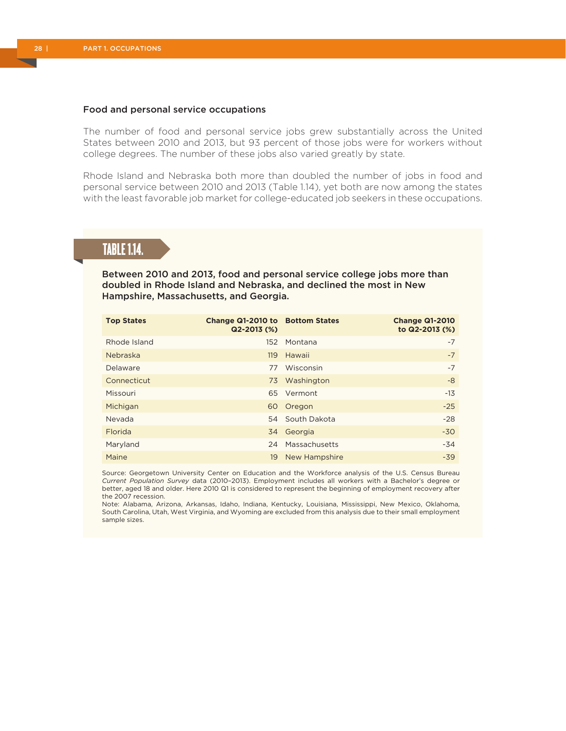#### Food and personal service occupations

The number of food and personal service jobs grew substantially across the United States between 2010 and 2013, but 93 percent of those jobs were for workers without college degrees. The number of these jobs also varied greatly by state.

Rhode Island and Nebraska both more than doubled the number of jobs in food and personal service between 2010 and 2013 (Table 1.14), yet both are now among the states with the least favorable job market for college-educated job seekers in these occupations.

# TABLE 1.14.

Between 2010 and 2013, food and personal service college jobs more than doubled in Rhode Island and Nebraska, and declined the most in New Hampshire, Massachusetts, and Georgia.

| <b>Top States</b> | Change Q1-2010 to Bottom States<br>$Q2 - 2013$ (%) |                 | <b>Change Q1-2010</b><br>to Q2-2013 (%) |
|-------------------|----------------------------------------------------|-----------------|-----------------------------------------|
| Rhode Island      | 152 <sub>15</sub>                                  | Montana         | $-7$                                    |
| Nebraska          | 119                                                | Hawaii          | $-7$                                    |
| Delaware          | 77                                                 | Wisconsin       | $-7$                                    |
| Connecticut       |                                                    | 73 Washington   | $-8$                                    |
| Missouri          |                                                    | 65 Vermont      | $-13$                                   |
| Michigan          | 60                                                 | Oregon          | $-25$                                   |
| Nevada            |                                                    | 54 South Dakota | $-28$                                   |
| Florida           |                                                    | 34 Georgia      | $-30$                                   |
| Maryland          | 24                                                 | Massachusetts   | $-34$                                   |
| Maine             | 19                                                 | New Hampshire   | $-39$                                   |

Source: Georgetown University Center on Education and the Workforce analysis of the U.S. Census Bureau *Current Population Survey* data (2010–2013). Employment includes all workers with a Bachelor's degree or better, aged 18 and older. Here 2010 Q1 is considered to represent the beginning of employment recovery after the 2007 recession.

Note: Alabama, Arizona, Arkansas, Idaho, Indiana, Kentucky, Louisiana, Mississippi, New Mexico, Oklahoma, South Carolina, Utah, West Virginia, and Wyoming are excluded from this analysis due to their small employment sample sizes.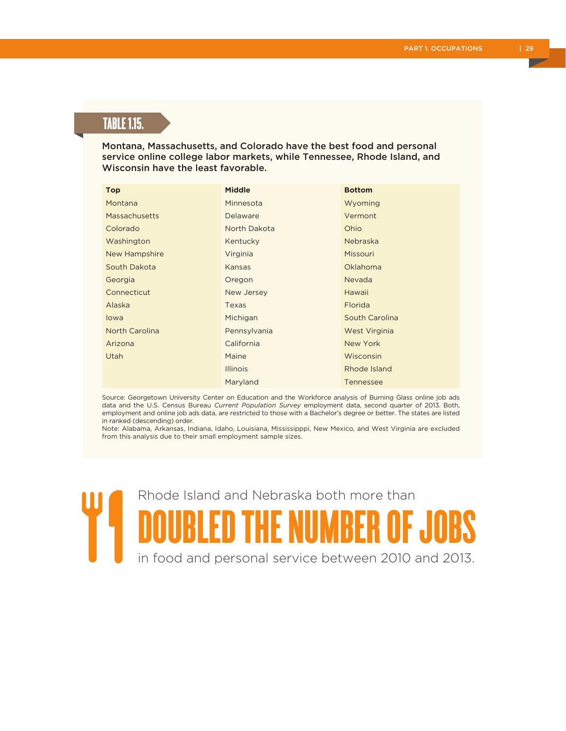# TABLE 1.15.

Montana, Massachusetts, and Colorado have the best food and personal service online college labor markets, while Tennessee, Rhode Island, and Wisconsin have the least favorable.

| <b>Top</b>            | <b>Middle</b>   | <b>Bottom</b>    |
|-----------------------|-----------------|------------------|
| Montana               | Minnesota       | Wyoming          |
| <b>Massachusetts</b>  | Delaware        | Vermont          |
| Colorado              | North Dakota    | Ohio             |
| Washington            | Kentucky        | Nebraska         |
| New Hampshire         | Virginia        | Missouri         |
| South Dakota          | Kansas          | <b>Oklahoma</b>  |
| Georgia               | Oregon          | Nevada           |
| Connecticut           | New Jersey      | Hawaii           |
| Alaska                | Texas           | Florida          |
| lowa                  | Michigan        | South Carolina   |
| <b>North Carolina</b> | Pennsylvania    | West Virginia    |
| Arizona               | California      | New York         |
| Utah                  | Maine           | Wisconsin        |
|                       | <b>Illinois</b> | Rhode Island     |
|                       | Maryland        | <b>Tennessee</b> |

Source: Georgetown University Center on Education and the Workforce analysis of Burning Glass online job ads data and the U.S. Census Bureau *Current Population Survey* employment data, second quarter of 2013. Both, employment and online job ads data, are restricted to those with a Bachelor's degree or better. The states are listed in ranked (descending) order.

Note: Alabama, Arkansas, Indiana, Idaho, Louisiana, Mississipppi, New Mexico, and West Virginia are excluded from this analysis due to their small employment sample sizes.

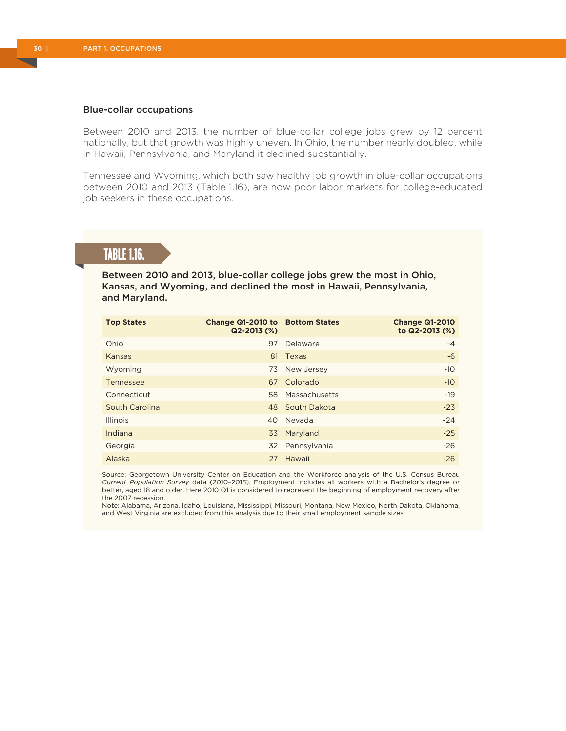#### Blue-collar occupations

Between 2010 and 2013, the number of blue-collar college jobs grew by 12 percent nationally, but that growth was highly uneven. In Ohio, the number nearly doubled, while in Hawaii, Pennsylvania, and Maryland it declined substantially.

Tennessee and Wyoming, which both saw healthy job growth in blue-collar occupations between 2010 and 2013 (Table 1.16), are now poor labor markets for college-educated job seekers in these occupations.

# TABLE 1.16.

Between 2010 and 2013, blue-collar college jobs grew the most in Ohio, Kansas, and Wyoming, and declined the most in Hawaii, Pennsylvania, and Maryland.

| <b>Top States</b> | Change Q1-2010 to Bottom States<br>Q2-2013 (%) |               | <b>Change Q1-2010</b><br>to Q2-2013 (%) |
|-------------------|------------------------------------------------|---------------|-----------------------------------------|
| Ohio              | 97                                             | Delaware      | $-4$                                    |
| Kansas            | 81                                             | Texas         | $-6$                                    |
| Wyoming           | 73                                             | New Jersey    | $-10$                                   |
| Tennessee         |                                                | 67 Colorado   | $-10$                                   |
| Connecticut       | 58                                             | Massachusetts | $-19$                                   |
| South Carolina    | 48                                             | South Dakota  | $-23$                                   |
| <b>Illinois</b>   | 40                                             | Nevada        | $-24$                                   |
| Indiana           | 33                                             | Maryland      | $-25$                                   |
| Georgia           | 32                                             | Pennsylvania  | $-26$                                   |
| Alaska            |                                                | 27 Hawaii     | $-26$                                   |

Source: Georgetown University Center on Education and the Workforce analysis of the U.S. Census Bureau *Current Population Survey* data (2010–2013). Employment includes all workers with a Bachelor's degree or better, aged 18 and older. Here 2010 Q1 is considered to represent the beginning of employment recovery after the 2007 recession.

Note: Alabama, Arizona, Idaho, Louisiana, Mississippi, Missouri, Montana, New Mexico, North Dakota, Oklahoma, and West Virginia are excluded from this analysis due to their small employment sample sizes.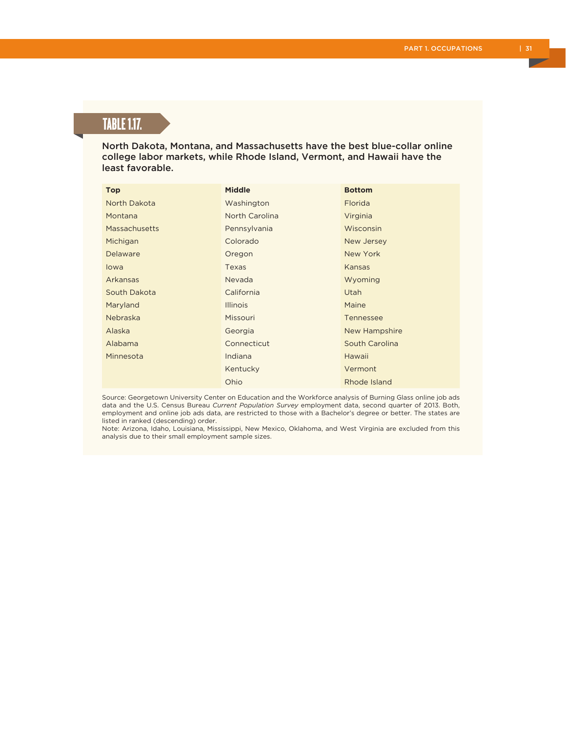# TABLE 1.17.

North Dakota, Montana, and Massachusetts have the best blue-collar online college labor markets, while Rhode Island, Vermont, and Hawaii have the least favorable.

| <b>Top</b>      | <b>Middle</b>   | <b>Bottom</b>    |
|-----------------|-----------------|------------------|
| North Dakota    | Washington      | Florida          |
| Montana         | North Carolina  | Virginia         |
| Massachusetts   | Pennsylvania    | Wisconsin        |
| Michigan        | Colorado        | New Jersey       |
| Delaware        | Oregon          | New York         |
| lowa            | Texas           | Kansas           |
| Arkansas        | Nevada          | Wyoming          |
| South Dakota    | California      | <b>Utah</b>      |
| Maryland        | <b>Illinois</b> | Maine            |
| <b>Nebraska</b> | Missouri        | <b>Tennessee</b> |
| Alaska          | Georgia         | New Hampshire    |
| Alabama         | Connecticut     | South Carolina   |
| Minnesota       | Indiana         | Hawaii           |
|                 | Kentucky        | Vermont          |
|                 | Ohio            | Rhode Island     |

Source: Georgetown University Center on Education and the Workforce analysis of Burning Glass online job ads data and the U.S. Census Bureau *Current Population Survey* employment data, second quarter of 2013. Both, employment and online job ads data, are restricted to those with a Bachelor's degree or better. The states are listed in ranked (descending) order.

Note: Arizona, Idaho, Louisiana, Mississippi, New Mexico, Oklahoma, and West Virginia are excluded from this analysis due to their small employment sample sizes.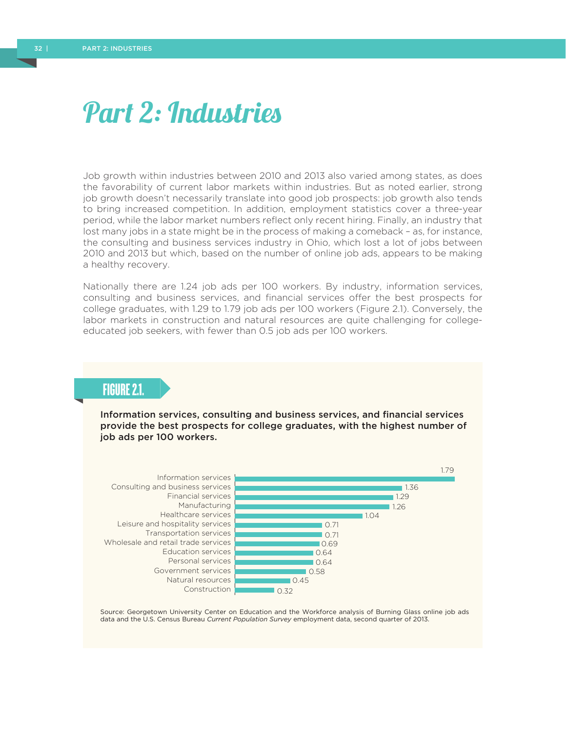# Part 2: Industries

Job growth within industries between 2010 and 2013 also varied among states, as does the favorability of current labor markets within industries. But as noted earlier, strong job growth doesn't necessarily translate into good job prospects: job growth also tends to bring increased competition. In addition, employment statistics cover a three-year period, while the labor market numbers reflect only recent hiring. Finally, an industry that lost many jobs in a state might be in the process of making a comeback – as, for instance, the consulting and business services industry in Ohio, which lost a lot of jobs between 2010 and 2013 but which, based on the number of online job ads, appears to be making a healthy recovery.

Nationally there are 1.24 job ads per 100 workers. By industry, information services, consulting and business services, and financial services offer the best prospects for college graduates, with 1.29 to 1.79 job ads per 100 workers (Figure 2.1). Conversely, the labor markets in construction and natural resources are quite challenging for collegeeducated job seekers, with fewer than 0.5 job ads per 100 workers.

### FIGURE 2.1.

Information services, consulting and business services, and financial services provide the best prospects for college graduates, with the highest number of job ads per 100 workers.



Source: Georgetown University Center on Education and the Workforce analysis of Burning Glass online job ads data and the U.S. Census Bureau *Current Population Survey* employment data, second quarter of 2013.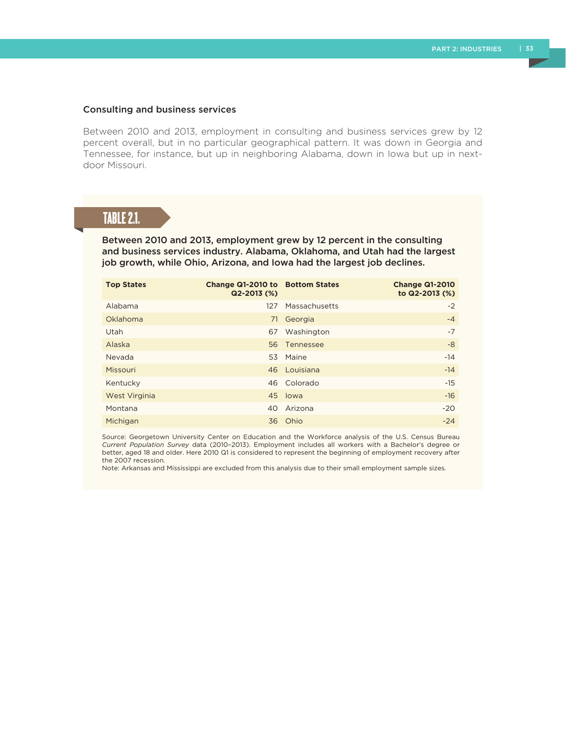#### Consulting and business services

Between 2010 and 2013, employment in consulting and business services grew by 12 percent overall, but in no particular geographical pattern. It was down in Georgia and Tennessee, for instance, but up in neighboring Alabama, down in Iowa but up in nextdoor Missouri.

# TABLE 2.1.

Between 2010 and 2013, employment grew by 12 percent in the consulting and business services industry. Alabama, Oklahoma, and Utah had the largest job growth, while Ohio, Arizona, and Iowa had the largest job declines.

| <b>Top States</b> | Change Q1-2010 to Bottom States<br>Q2-2013 (%) |               | <b>Change Q1-2010</b><br>to Q2-2013 (%) |
|-------------------|------------------------------------------------|---------------|-----------------------------------------|
| Alabama           | 127                                            | Massachusetts | $-2$                                    |
| Oklahoma          | 71                                             | Georgia       | $-4$                                    |
| Utah              | 67                                             | Washington    | $-7$                                    |
| Alaska            |                                                | 56 Tennessee  | -8                                      |
| Nevada            |                                                | 53 Maine      | $-14$                                   |
| Missouri          |                                                | 46 Louisiana  | $-14$                                   |
| Kentucky          |                                                | 46 Colorado   | $-15$                                   |
| West Virginia     |                                                | 45 Iowa       | $-16$                                   |
| Montana           | 40                                             | Arizona       | $-20$                                   |
| Michigan          |                                                | 36 Ohio       | $-24$                                   |

Source: Georgetown University Center on Education and the Workforce analysis of the U.S. Census Bureau *Current Population Survey* data (2010–2013). Employment includes all workers with a Bachelor's degree or better, aged 18 and older. Here 2010 Q1 is considered to represent the beginning of employment recovery after the 2007 recession.

Note: Arkansas and Mississippi are excluded from this analysis due to their small employment sample sizes.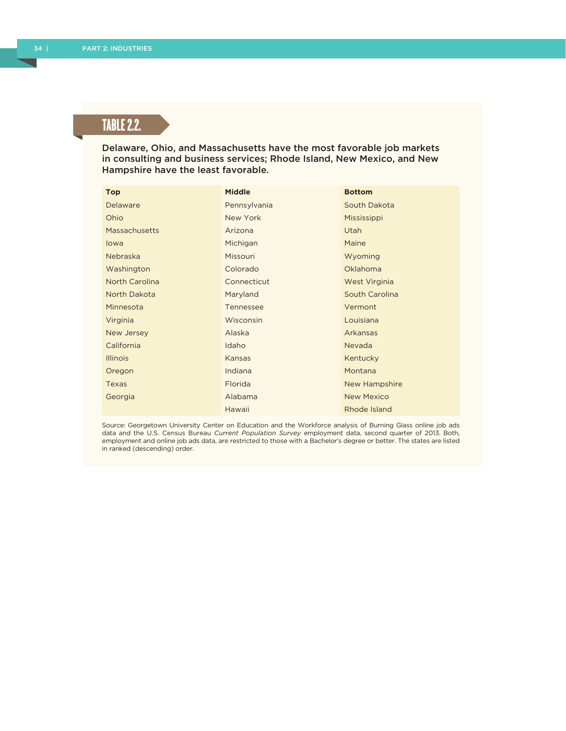# **TABLE 2.2.**

Delaware, Ohio, and Massachusetts have the most favorable job markets in consulting and business services; Rhode Island, New Mexico, and New Hampshire have the least favorable.

| <b>Top</b>            | <b>Middle</b> | <b>Bottom</b>     |
|-----------------------|---------------|-------------------|
| <b>Delaware</b>       | Pennsylvania  | South Dakota      |
| Ohio                  | New York      | Mississippi       |
| <b>Massachusetts</b>  | Arizona       | <b>Utah</b>       |
| lowa                  | Michigan      | Maine             |
| Nebraska              | Missouri      | Wyoming           |
| Washington            | Colorado      | <b>Oklahoma</b>   |
| <b>North Carolina</b> | Connecticut   | West Virginia     |
| North Dakota          | Maryland      | South Carolina    |
| Minnesota             | Tennessee     | Vermont           |
| Virginia              | Wisconsin     | Louisiana         |
| New Jersey            | Alaska        | Arkansas          |
| California            | Idaho         | Nevada            |
| <b>Illinois</b>       | Kansas        | Kentucky          |
| Oregon                | Indiana       | Montana           |
| Texas                 | Florida       | New Hampshire     |
| Georgia               | Alabama       | <b>New Mexico</b> |
|                       | Hawaii        | Rhode Island      |

Source: Georgetown University Center on Education and the Workforce analysis of Burning Glass online job ads data and the U.S. Census Bureau *Current Population Survey* employment data, second quarter of 2013. Both, employment and online job ads data, are restricted to those with a Bachelor's degree or better. The states are listed in ranked (descending) order.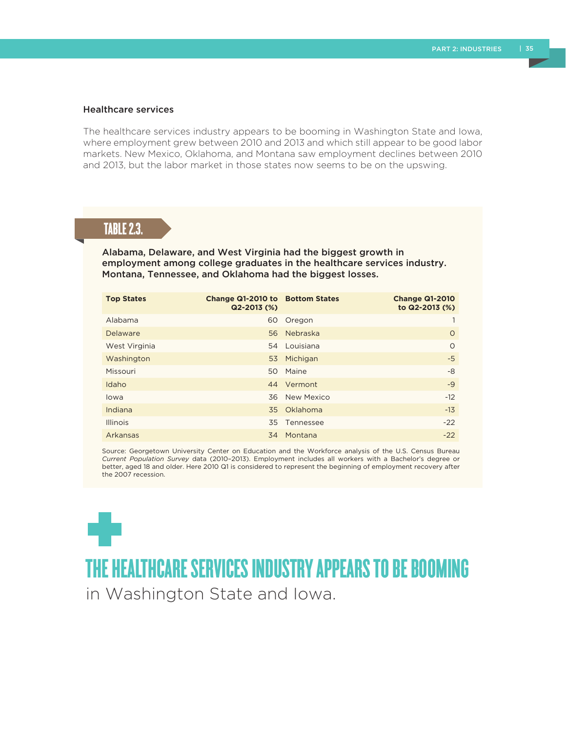#### Healthcare services

The healthcare services industry appears to be booming in Washington State and Iowa, where employment grew between 2010 and 2013 and which still appear to be good labor markets. New Mexico, Oklahoma, and Montana saw employment declines between 2010 and 2013, but the labor market in those states now seems to be on the upswing.

### TABLE 2.3.

Alabama, Delaware, and West Virginia had the biggest growth in employment among college graduates in the healthcare services industry. Montana, Tennessee, and Oklahoma had the biggest losses.

| <b>Top States</b> | Change Q1-2010 to Bottom States<br>$Q2 - 2013$ (%) |             | <b>Change Q1-2010</b><br>to Q2-2013 (%) |
|-------------------|----------------------------------------------------|-------------|-----------------------------------------|
| Alabama           | 60                                                 | Oregon      |                                         |
| Delaware          | 56                                                 | Nebraska    | $\circ$                                 |
| West Virginia     | 54                                                 | Louisiana   | $\Omega$                                |
| Washington        | 53                                                 | Michigan    | $-5$                                    |
| Missouri          | 50                                                 | Maine       | -8                                      |
| Idaho             |                                                    | 44 Vermont  | $-9$                                    |
| lowa              | 36                                                 | New Mexico  | $-12$                                   |
| Indiana           |                                                    | 35 Oklahoma | $-13$                                   |
| <b>Illinois</b>   | 35                                                 | Tennessee   | $-22$                                   |
| Arkansas          | 34                                                 | Montana     | $-22$                                   |

Source: Georgetown University Center on Education and the Workforce analysis of the U.S. Census Bureau *Current Population Survey* data (2010–2013). Employment includes all workers with a Bachelor's degree or better, aged 18 and older. Here 2010 Q1 is considered to represent the beginning of employment recovery after the 2007 recession.



THE HEALTHCARE SERVICES INDUSTRY APPEARS TO BE BOOMING

in Washington State and Iowa.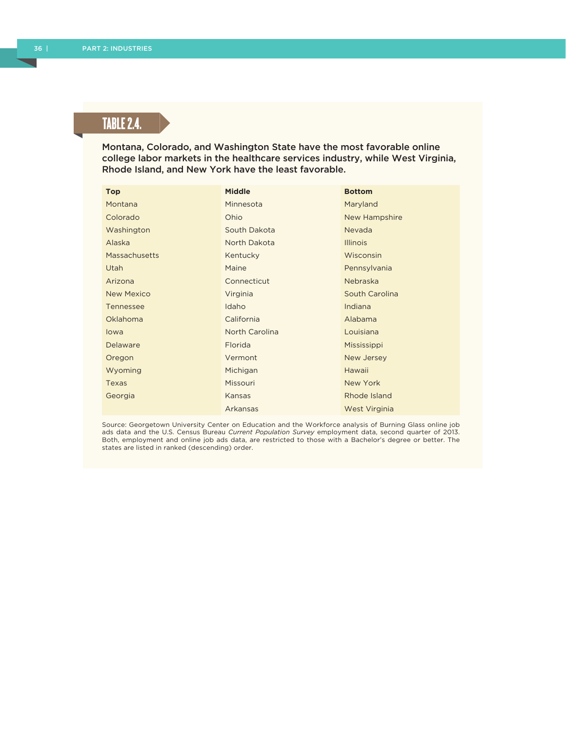# TABLE 2.4.

Montana, Colorado, and Washington State have the most favorable online college labor markets in the healthcare services industry, while West Virginia, Rhode Island, and New York have the least favorable.

| <b>Top</b>           | <b>Middle</b>  | <b>Bottom</b>   |
|----------------------|----------------|-----------------|
| Montana              | Minnesota      | Maryland        |
| Colorado             | Ohio           | New Hampshire   |
| Washington           | South Dakota   | Nevada          |
| Alaska               | North Dakota   | <b>Illinois</b> |
| <b>Massachusetts</b> | Kentucky       | Wisconsin       |
| Utah                 | Maine          | Pennsylvania    |
| Arizona              | Connecticut    | Nebraska        |
| <b>New Mexico</b>    | Virginia       | South Carolina  |
| Tennessee            | Idaho          | Indiana         |
| Oklahoma             | California     | Alabama         |
| lowa                 | North Carolina | Louisiana       |
| <b>Delaware</b>      | Florida        | Mississippi     |
| Oregon               | Vermont        | New Jersey      |
| Wyoming              | Michigan       | Hawaii          |
| Texas                | Missouri       | New York        |
| Georgia              | Kansas         | Rhode Island    |
|                      | Arkansas       | West Virginia   |

Source: Georgetown University Center on Education and the Workforce analysis of Burning Glass online job ads data and the U.S. Census Bureau *Current Population Survey* employment data, second quarter of 2013. Both, employment and online job ads data, are restricted to those with a Bachelor's degree or better. The states are listed in ranked (descending) order.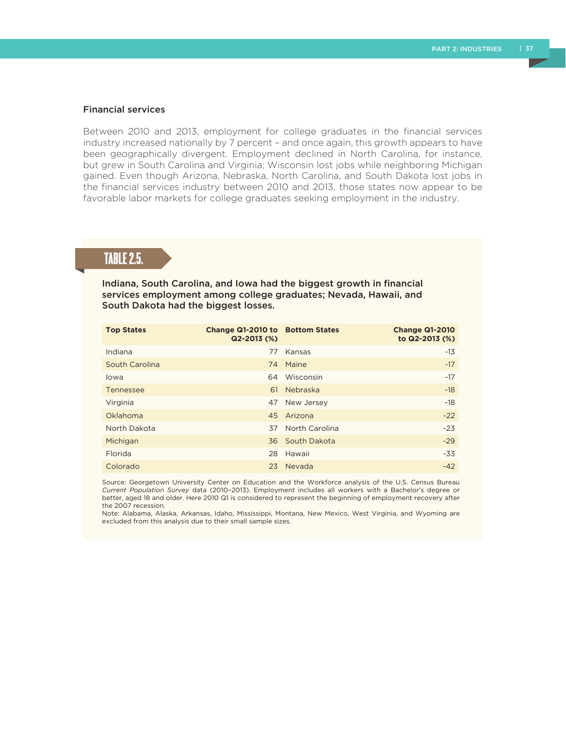#### Financial services

Between 2010 and 2013, employment for college graduates in the financial services industry increased nationally by 7 percent – and once again, this growth appears to have been geographically divergent. Employment declined in North Carolina, for instance, but grew in South Carolina and Virginia; Wisconsin lost jobs while neighboring Michigan gained. Even though Arizona, Nebraska, North Carolina, and South Dakota lost jobs in the financial services industry between 2010 and 2013, those states now appear to be favorable labor markets for college graduates seeking employment in the industry.

# TABLE 2.5.

Indiana, South Carolina, and Iowa had the biggest growth in financial services employment among college graduates; Nevada, Hawaii, and South Dakota had the biggest losses.

| <b>Top States</b> | Change Q1-2010 to Bottom States<br>$Q2 - 2013$ (%) |                 | <b>Change Q1-2010</b><br>to Q2-2013 (%) |
|-------------------|----------------------------------------------------|-----------------|-----------------------------------------|
| Indiana           | 77                                                 | Kansas          | $-13$                                   |
| South Carolina    |                                                    | 74 Maine        | $-17$                                   |
| lowa              | 64                                                 | Wisconsin       | $-17$                                   |
| Tennessee         | 61                                                 | Nebraska        | $-18$                                   |
| Virginia          | 47                                                 | New Jersey      | $-18$                                   |
| Oklahoma          |                                                    | 45 Arizona      | $-22$                                   |
| North Dakota      | 37                                                 | North Carolina  | $-23$                                   |
| Michigan          |                                                    | 36 South Dakota | $-29$                                   |
| Florida           | 28                                                 | Hawaii          | $-33$                                   |
| Colorado          |                                                    | 23 Nevada       | $-42$                                   |

Source: Georgetown University Center on Education and the Workforce analysis of the U.S. Census Bureau *Current Population Survey* data (2010–2013). Employment includes all workers with a Bachelor's degree or better, aged 18 and older. Here 2010 Q1 is considered to represent the beginning of employment recovery after the 2007 recession.

Note: Alabama, Alaska, Arkansas, Idaho, Mississippi, Montana, New Mexico, West Virginia, and Wyoming are excluded from this analysis due to their small sample sizes.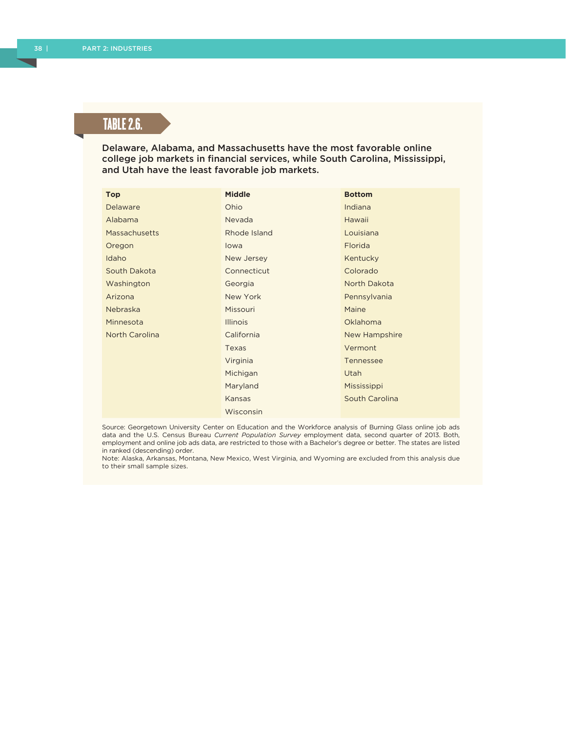# TABLE 2.6.

Delaware, Alabama, and Massachusetts have the most favorable online college job markets in financial services, while South Carolina, Mississippi, and Utah have the least favorable job markets.

| <b>Top</b>            | <b>Middle</b>   | <b>Bottom</b>    |
|-----------------------|-----------------|------------------|
| <b>Delaware</b>       | Ohio            | Indiana          |
| Alabama               | Nevada          | Hawaii           |
| Massachusetts         | Rhode Island    | Louisiana        |
| Oregon                | lowa            | Florida          |
| Idaho                 | New Jersey      | Kentucky         |
| South Dakota          | Connecticut     | Colorado         |
| Washington            | Georgia         | North Dakota     |
| Arizona               | New York        | Pennsylvania     |
| <b>Nebraska</b>       | <b>Missouri</b> | Maine            |
| Minnesota             | <b>Illinois</b> | Oklahoma         |
| <b>North Carolina</b> | California      | New Hampshire    |
|                       | Texas           | Vermont          |
|                       | Virginia        | <b>Tennessee</b> |
|                       | Michigan        | <b>Utah</b>      |
|                       | Maryland        | Mississippi      |
|                       | Kansas          | South Carolina   |
|                       | Wisconsin       |                  |

Source: Georgetown University Center on Education and the Workforce analysis of Burning Glass online job ads data and the U.S. Census Bureau *Current Population Survey* employment data, second quarter of 2013. Both, employment and online job ads data, are restricted to those with a Bachelor's degree or better. The states are listed in ranked (descending) order.

Note: Alaska, Arkansas, Montana, New Mexico, West Virginia, and Wyoming are excluded from this analysis due to their small sample sizes.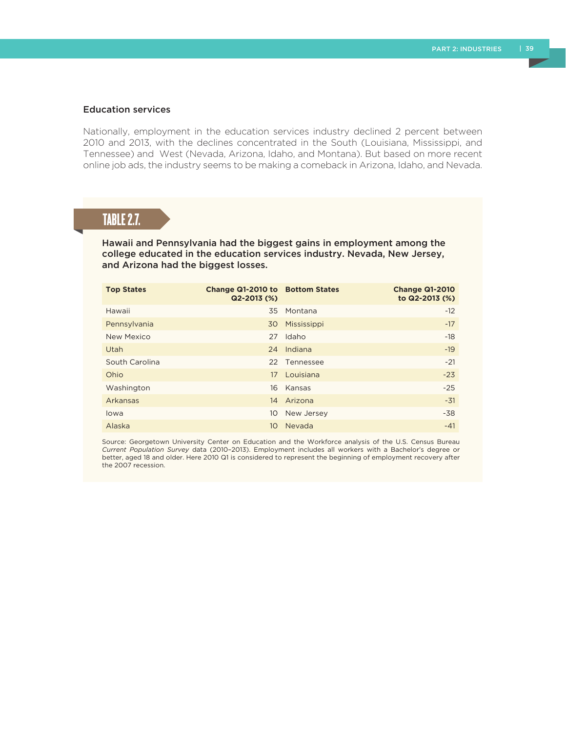#### Education services

Nationally, employment in the education services industry declined 2 percent between 2010 and 2013, with the declines concentrated in the South (Louisiana, Mississippi, and Tennessee) and West (Nevada, Arizona, Idaho, and Montana). But based on more recent online job ads, the industry seems to be making a comeback in Arizona, Idaho, and Nevada.

## TABLE 2.7.

Hawaii and Pennsylvania had the biggest gains in employment among the college educated in the education services industry. Nevada, New Jersey, and Arizona had the biggest losses.

| <b>Top States</b> | Change Q1-2010 to Bottom States<br>$Q2 - 2013$ (%) |              | <b>Change Q1-2010</b><br>to Q2-2013 (%) |
|-------------------|----------------------------------------------------|--------------|-----------------------------------------|
| Hawaii            |                                                    | 35 Montana   | $-12$                                   |
| Pennsylvania      | 30                                                 | Mississippi  | $-17$                                   |
| New Mexico        | 27                                                 | Idaho        | $-18$                                   |
| Utah              | 24                                                 | Indiana      | $-19$                                   |
| South Carolina    |                                                    | 22 Tennessee | $-21$                                   |
| Ohio              | 17                                                 | Louisiana    | $-23$                                   |
| Washington        | 16                                                 | Kansas       | $-25$                                   |
| Arkansas          | 14                                                 | Arizona      | $-31$                                   |
| lowa              | 10                                                 | New Jersey   | $-38$                                   |
| Alaska            | 10 <sup>°</sup>                                    | Nevada       | $-41$                                   |

Source: Georgetown University Center on Education and the Workforce analysis of the U.S. Census Bureau *Current Population Survey* data (2010–2013). Employment includes all workers with a Bachelor's degree or better, aged 18 and older. Here 2010 Q1 is considered to represent the beginning of employment recovery after the 2007 recession.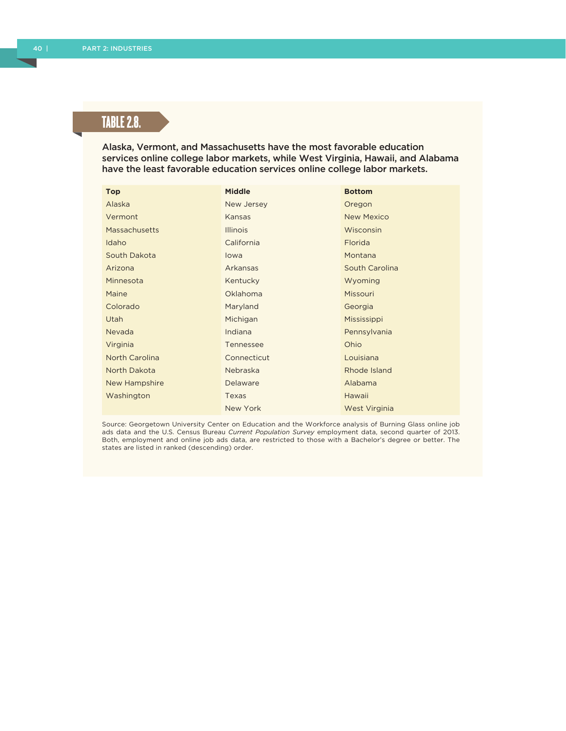# TABLE 2.8.

Alaska, Vermont, and Massachusetts have the most favorable education services online college labor markets, while West Virginia, Hawaii, and Alabama have the least favorable education services online college labor markets.

| <b>Top</b>            | <b>Middle</b>   | <b>Bottom</b>     |
|-----------------------|-----------------|-------------------|
| Alaska                | New Jersey      | Oregon            |
| Vermont               | Kansas          | <b>New Mexico</b> |
| Massachusetts         | <b>Illinois</b> | Wisconsin         |
| Idaho                 | California      | Florida           |
| South Dakota          | lowa            | Montana           |
| Arizona               | Arkansas        | South Carolina    |
| Minnesota             | Kentucky        | Wyoming           |
| Maine                 | Oklahoma        | Missouri          |
| Colorado              | Maryland        | Georgia           |
| Utah                  | Michigan        | Mississippi       |
| Nevada                | Indiana         | Pennsylvania      |
| Virginia              | Tennessee       | Ohio              |
| <b>North Carolina</b> | Connecticut     | Louisiana         |
| North Dakota          | Nebraska        | Rhode Island      |
| New Hampshire         | Delaware        | Alabama           |
| Washington            | Texas           | Hawaii            |
|                       | New York        | West Virginia     |

Source: Georgetown University Center on Education and the Workforce analysis of Burning Glass online job ads data and the U.S. Census Bureau *Current Population Survey* employment data, second quarter of 2013. Both, employment and online job ads data, are restricted to those with a Bachelor's degree or better. The states are listed in ranked (descending) order.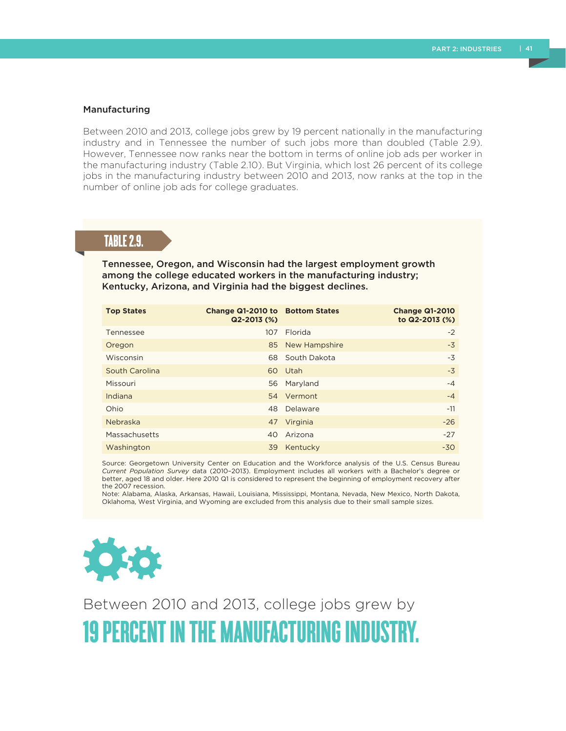#### Manufacturing

Between 2010 and 2013, college jobs grew by 19 percent nationally in the manufacturing industry and in Tennessee the number of such jobs more than doubled (Table 2.9). However, Tennessee now ranks near the bottom in terms of online job ads per worker in the manufacturing industry (Table 2.10). But Virginia, which lost 26 percent of its college jobs in the manufacturing industry between 2010 and 2013, now ranks at the top in the number of online job ads for college graduates.

### TABLE 2.9.

Tennessee, Oregon, and Wisconsin had the largest employment growth among the college educated workers in the manufacturing industry; Kentucky, Arizona, and Virginia had the biggest declines.

| <b>Top States</b> | Change Q1-2010 to Bottom States<br>$Q2 - 2013$ (%) |               | <b>Change Q1-2010</b><br>to Q2-2013 (%) |
|-------------------|----------------------------------------------------|---------------|-----------------------------------------|
| Tennessee         | 107                                                | Florida       | $-2$                                    |
| Oregon            | 85                                                 | New Hampshire | $-3$                                    |
| Wisconsin         | 68                                                 | South Dakota  | $-3$                                    |
| South Carolina    |                                                    | 60 Utah       | $-3$                                    |
| Missouri          | 56                                                 | Maryland      | $-4$                                    |
| Indiana           |                                                    | 54 Vermont    | $-4$                                    |
| Ohio              | 48                                                 | Delaware      | $-11$                                   |
| Nebraska          |                                                    | 47 Virginia   | $-26$                                   |
| Massachusetts     | 40                                                 | Arizona       | $-27$                                   |
| Washington        | 39                                                 | Kentucky      | $-30$                                   |

Source: Georgetown University Center on Education and the Workforce analysis of the U.S. Census Bureau *Current Population Survey* data (2010–2013). Employment includes all workers with a Bachelor's degree or better, aged 18 and older. Here 2010 Q1 is considered to represent the beginning of employment recovery after the 2007 recession.

Note: Alabama, Alaska, Arkansas, Hawaii, Louisiana, Mississippi, Montana, Nevada, New Mexico, North Dakota, Oklahoma, West Virginia, and Wyoming are excluded from this analysis due to their small sample sizes.



Between 2010 and 2013, college jobs grew by 19 PERCENT IN THE MANUFACTURING INDUSTRY.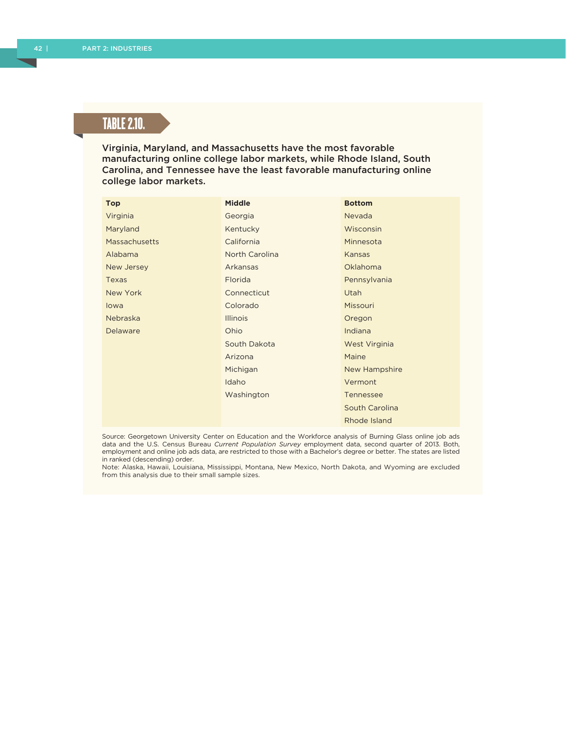# TABLE 2.10.

Virginia, Maryland, and Massachusetts have the most favorable manufacturing online college labor markets, while Rhode Island, South Carolina, and Tennessee have the least favorable manufacturing online college labor markets.

| <b>Top</b>           | <b>Middle</b>   | <b>Bottom</b>    |
|----------------------|-----------------|------------------|
| Virginia             | Georgia         | Nevada           |
| Maryland             | Kentucky        | Wisconsin        |
| <b>Massachusetts</b> | California      | Minnesota        |
| Alabama              | North Carolina  | Kansas           |
| New Jersey           | Arkansas        | Oklahoma         |
| <b>Texas</b>         | Florida         | Pennsylvania     |
| New York             | Connecticut     | <b>Utah</b>      |
| lowa                 | Colorado        | Missouri         |
| Nebraska             | <b>Illinois</b> | Oregon           |
| Delaware             | Ohio            | Indiana          |
|                      | South Dakota    | West Virginia    |
|                      | Arizona         | Maine            |
|                      | Michigan        | New Hampshire    |
|                      | Idaho           | Vermont          |
|                      | Washington      | <b>Tennessee</b> |
|                      |                 | South Carolina   |

Source: Georgetown University Center on Education and the Workforce analysis of Burning Glass online job ads data and the U.S. Census Bureau *Current Population Survey* employment data, second quarter of 2013. Both, employment and online job ads data, are restricted to those with a Bachelor's degree or better. The states are listed in ranked (descending) order.

Rhode Island

Note: Alaska, Hawaii, Louisiana, Mississippi, Montana, New Mexico, North Dakota, and Wyoming are excluded from this analysis due to their small sample sizes.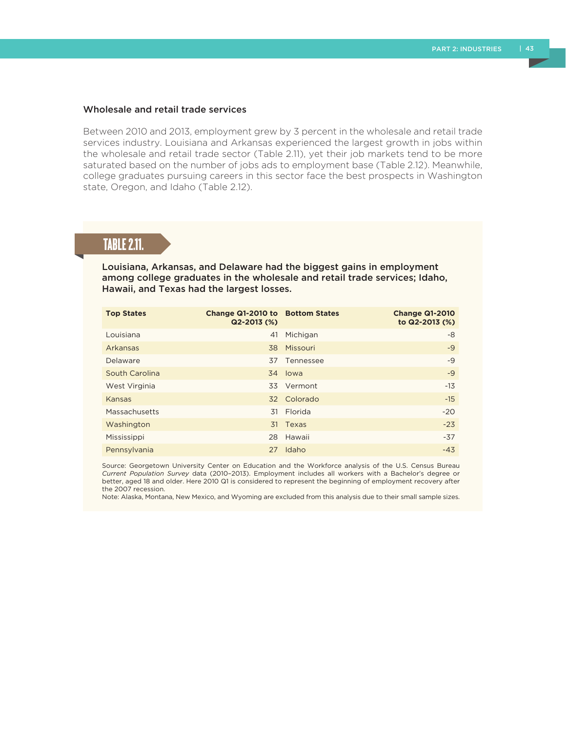#### Wholesale and retail trade services

Between 2010 and 2013, employment grew by 3 percent in the wholesale and retail trade services industry. Louisiana and Arkansas experienced the largest growth in jobs within the wholesale and retail trade sector (Table 2.11), yet their job markets tend to be more saturated based on the number of jobs ads to employment base (Table 2.12). Meanwhile, college graduates pursuing careers in this sector face the best prospects in Washington state, Oregon, and Idaho (Table 2.12).

## TABLE 2.11.

Louisiana, Arkansas, and Delaware had the biggest gains in employment among college graduates in the wholesale and retail trade services; Idaho, Hawaii, and Texas had the largest losses.

| <b>Top States</b> | Change Q1-2010 to Bottom States<br>$Q2 - 2013$ (%) |             | <b>Change Q1-2010</b><br>to Q2-2013 (%) |
|-------------------|----------------------------------------------------|-------------|-----------------------------------------|
| Louisiana         | 41                                                 | Michigan    | -8                                      |
| Arkansas          | 38                                                 | Missouri    | $-9$                                    |
| Delaware          | 37                                                 | Tennessee   | $-9$                                    |
| South Carolina    |                                                    | 34 lowa     | $-9$                                    |
| West Virginia     |                                                    | 33 Vermont  | $-13$                                   |
| Kansas            |                                                    | 32 Colorado | $-15$                                   |
| Massachusetts     | 31                                                 | Florida     | $-20$                                   |
| Washington        |                                                    | 31 Texas    | $-23$                                   |
| Mississippi       |                                                    | 28 Hawaii   | $-37$                                   |
| Pennsylvania      | 27                                                 | Idaho       | $-43$                                   |

Source: Georgetown University Center on Education and the Workforce analysis of the U.S. Census Bureau *Current Population Survey* data (2010–2013). Employment includes all workers with a Bachelor's degree or better, aged 18 and older. Here 2010 Q1 is considered to represent the beginning of employment recovery after the 2007 recession.

Note: Alaska, Montana, New Mexico, and Wyoming are excluded from this analysis due to their small sample sizes.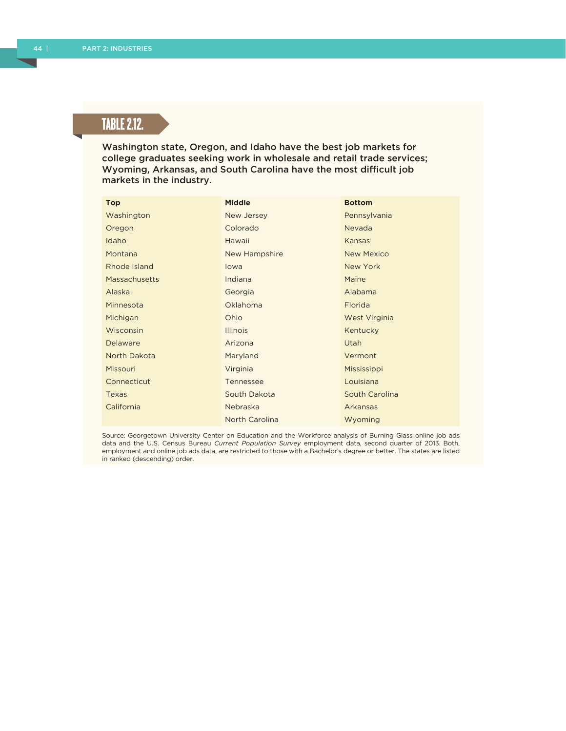# TABLE 2.12.

Washington state, Oregon, and Idaho have the best job markets for college graduates seeking work in wholesale and retail trade services; Wyoming, Arkansas, and South Carolina have the most difficult job markets in the industry.

| <b>Top</b>           | <b>Middle</b>   | <b>Bottom</b>     |
|----------------------|-----------------|-------------------|
| Washington           | New Jersey      | Pennsylvania      |
| Oregon               | Colorado        | Nevada            |
| Idaho                | Hawaii          | Kansas            |
| Montana              | New Hampshire   | <b>New Mexico</b> |
| Rhode Island         | lowa            | New York          |
| <b>Massachusetts</b> | Indiana         | Maine             |
| Alaska               | Georgia         | Alabama           |
| Minnesota            | Oklahoma        | Florida           |
| Michigan             | Ohio            | West Virginia     |
| Wisconsin            | <b>Illinois</b> | Kentucky          |
| Delaware             | Arizona         | Utah              |
| North Dakota         | Maryland        | Vermont           |
| Missouri             | Virginia        | Mississippi       |
| Connecticut          | Tennessee       | Louisiana         |
| Texas                | South Dakota    | South Carolina    |
| California           | Nebraska        | Arkansas          |
|                      | North Carolina  | Wyoming           |

Source: Georgetown University Center on Education and the Workforce analysis of Burning Glass online job ads data and the U.S. Census Bureau *Current Population Survey* employment data, second quarter of 2013. Both, employment and online job ads data, are restricted to those with a Bachelor's degree or better. The states are listed in ranked (descending) order.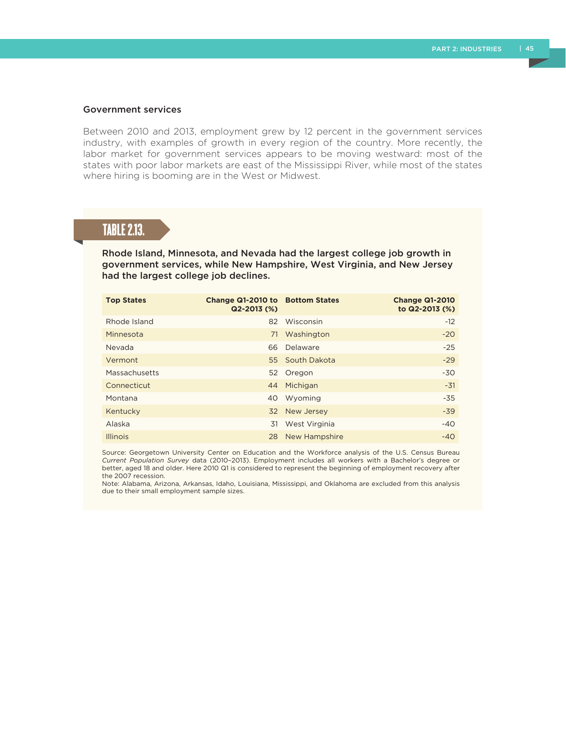#### Government services

Between 2010 and 2013, employment grew by 12 percent in the government services industry, with examples of growth in every region of the country. More recently, the labor market for government services appears to be moving westward: most of the states with poor labor markets are east of the Mississippi River, while most of the states where hiring is booming are in the West or Midwest.

## TABLE 2.13.

Rhode Island, Minnesota, and Nevada had the largest college job growth in government services, while New Hampshire, West Virginia, and New Jersey had the largest college job declines.

| <b>Top States</b> | Change Q1-2010 to Bottom States<br>$Q2 - 2013$ (%) |                 | <b>Change Q1-2010</b><br>to Q2-2013 (%) |
|-------------------|----------------------------------------------------|-----------------|-----------------------------------------|
| Rhode Island      | 82                                                 | Wisconsin       | $-12$                                   |
| Minnesota         | 71                                                 | Washington      | $-20$                                   |
| Nevada            | 66                                                 | Delaware        | $-25$                                   |
| Vermont           |                                                    | 55 South Dakota | $-29$                                   |
| Massachusetts     |                                                    | 52 Oregon       | $-30$                                   |
| Connecticut       | 44                                                 | Michigan        | $-31$                                   |
| Montana           | 40                                                 | Wyoming         | $-35$                                   |
| Kentucky          | 32                                                 | New Jersey      | $-39$                                   |
| Alaska            | 31                                                 | West Virginia   | $-40$                                   |
| <b>Illinois</b>   | 28                                                 | New Hampshire   | $-40$                                   |

Source: Georgetown University Center on Education and the Workforce analysis of the U.S. Census Bureau *Current Population Survey* data (2010–2013). Employment includes all workers with a Bachelor's degree or better, aged 18 and older. Here 2010 Q1 is considered to represent the beginning of employment recovery after the 2007 recession.

Note: Alabama, Arizona, Arkansas, Idaho, Louisiana, Mississippi, and Oklahoma are excluded from this analysis due to their small employment sample sizes.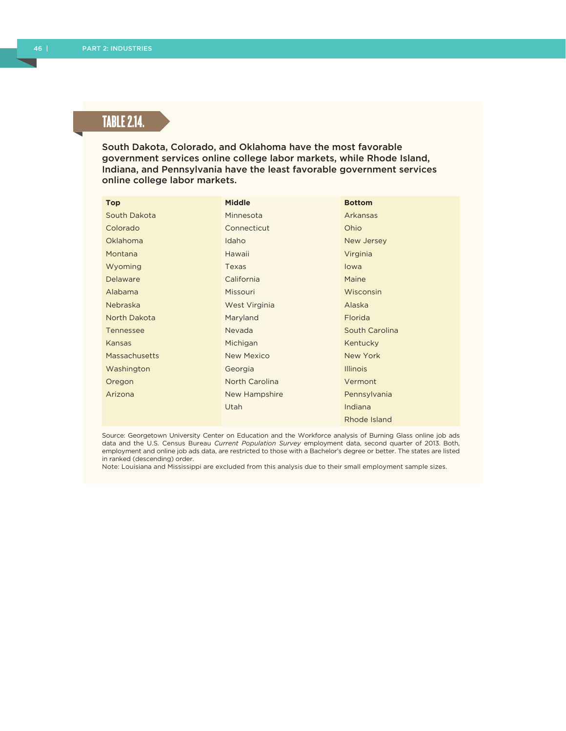# TABLE 2.14.

South Dakota, Colorado, and Oklahoma have the most favorable government services online college labor markets, while Rhode Island, Indiana, and Pennsylvania have the least favorable government services online college labor markets.

| <b>Top</b>      | <b>Middle</b>     | <b>Bottom</b>   |
|-----------------|-------------------|-----------------|
| South Dakota    | Minnesota         | Arkansas        |
| Colorado        | Connecticut       | Ohio            |
| <b>Oklahoma</b> | Idaho             | New Jersey      |
| Montana         | Hawaii            | Virginia        |
| Wyoming         | Texas             | lowa            |
| Delaware        | California        | Maine           |
| Alabama         | Missouri          | Wisconsin       |
| Nebraska        | West Virginia     | Alaska          |
| North Dakota    | Maryland          | Florida         |
| Tennessee       | Nevada            | South Carolina  |
| Kansas          | Michigan          | Kentucky        |
| Massachusetts   | <b>New Mexico</b> | New York        |
| Washington      | Georgia           | <b>Illinois</b> |
| Oregon          | North Carolina    | Vermont         |
| Arizona         | New Hampshire     | Pennsylvania    |
|                 | Utah              | Indiana         |
|                 |                   | Rhode Island    |

Source: Georgetown University Center on Education and the Workforce analysis of Burning Glass online job ads data and the U.S. Census Bureau *Current Population Survey* employment data, second quarter of 2013. Both, employment and online job ads data, are restricted to those with a Bachelor's degree or better. The states are listed in ranked (descending) order.

Note: Louisiana and Mississippi are excluded from this analysis due to their small employment sample sizes.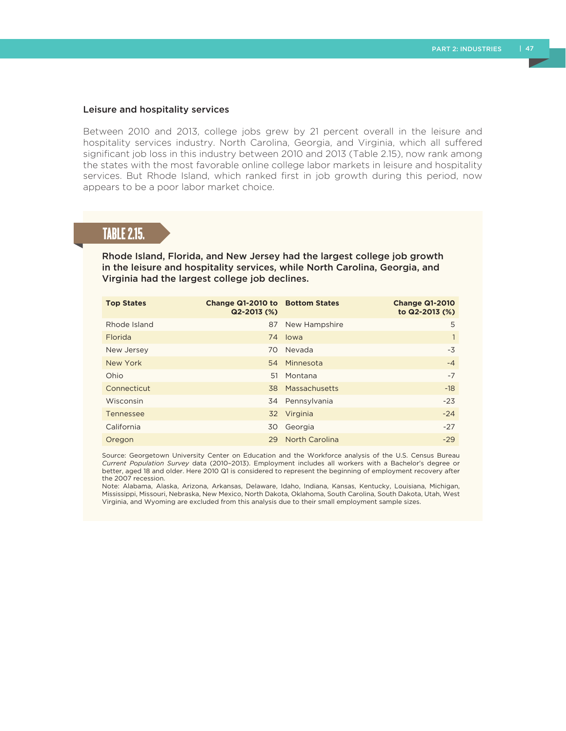#### Leisure and hospitality services

Between 2010 and 2013, college jobs grew by 21 percent overall in the leisure and hospitality services industry. North Carolina, Georgia, and Virginia, which all suffered significant job loss in this industry between 2010 and 2013 (Table 2.15), now rank among the states with the most favorable online college labor markets in leisure and hospitality services. But Rhode Island, which ranked first in job growth during this period, now appears to be a poor labor market choice.

### TABLE 2.15.

#### Rhode Island, Florida, and New Jersey had the largest college job growth in the leisure and hospitality services, while North Carolina, Georgia, and Virginia had the largest college job declines.

| <b>Top States</b> | Change Q1-2010 to Bottom States<br>$Q2 - 2013$ (%) |                       | <b>Change Q1-2010</b><br>to Q2-2013 (%) |
|-------------------|----------------------------------------------------|-----------------------|-----------------------------------------|
| Rhode Island      | 87                                                 | New Hampshire         | 5                                       |
| Florida           |                                                    | 74 Iowa               | 1                                       |
| New Jersey        | 70                                                 | Nevada                | $-3$                                    |
| New York          |                                                    | 54 Minnesota          | $-4$                                    |
| Ohio              | 51                                                 | Montana               | $-7$                                    |
| Connecticut       |                                                    | 38 Massachusetts      | $-18$                                   |
| Wisconsin         |                                                    | 34 Pennsylvania       | $-23$                                   |
| Tennessee         |                                                    | 32 Virginia           | $-24$                                   |
| California        | 30                                                 | Georgia               | $-27$                                   |
| Oregon            | 29                                                 | <b>North Carolina</b> | $-29$                                   |

Source: Georgetown University Center on Education and the Workforce analysis of the U.S. Census Bureau *Current Population Survey* data (2010–2013). Employment includes all workers with a Bachelor's degree or better, aged 18 and older. Here 2010 Q1 is considered to represent the beginning of employment recovery after the 2007 recession.

Note: Alabama, Alaska, Arizona, Arkansas, Delaware, Idaho, Indiana, Kansas, Kentucky, Louisiana, Michigan, Mississippi, Missouri, Nebraska, New Mexico, North Dakota, Oklahoma, South Carolina, South Dakota, Utah, West Virginia, and Wyoming are excluded from this analysis due to their small employment sample sizes.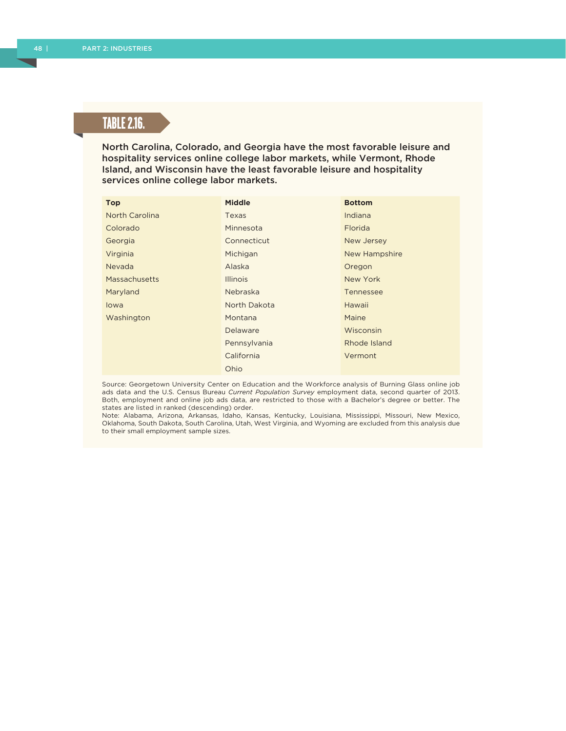# TABLE 2.16.

North Carolina, Colorado, and Georgia have the most favorable leisure and hospitality services online college labor markets, while Vermont, Rhode Island, and Wisconsin have the least favorable leisure and hospitality services online college labor markets.

| <b>Top</b>           | <b>Middle</b>   | <b>Bottom</b> |
|----------------------|-----------------|---------------|
| North Carolina       | Texas           | Indiana       |
| Colorado             | Minnesota       | Florida       |
| Georgia              | Connecticut     | New Jersey    |
| Virginia             | Michigan        | New Hampshire |
| <b>Nevada</b>        | Alaska          | Oregon        |
| <b>Massachusetts</b> | <b>Illinois</b> | New York      |
| Maryland             | Nebraska        | Tennessee     |
| lowa                 | North Dakota    | Hawaii        |
| Washington           | Montana         | Maine         |
|                      | Delaware        | Wisconsin     |
|                      | Pennsylvania    | Rhode Island  |
|                      | California      | Vermont       |
|                      | Ohio            |               |

Source: Georgetown University Center on Education and the Workforce analysis of Burning Glass online job ads data and the U.S. Census Bureau *Current Population Survey* employment data, second quarter of 2013. Both, employment and online job ads data, are restricted to those with a Bachelor's degree or better. The states are listed in ranked (descending) order.

Note: Alabama, Arizona, Arkansas, Idaho, Kansas, Kentucky, Louisiana, Mississippi, Missouri, New Mexico, Oklahoma, South Dakota, South Carolina, Utah, West Virginia, and Wyoming are excluded from this analysis due to their small employment sample sizes.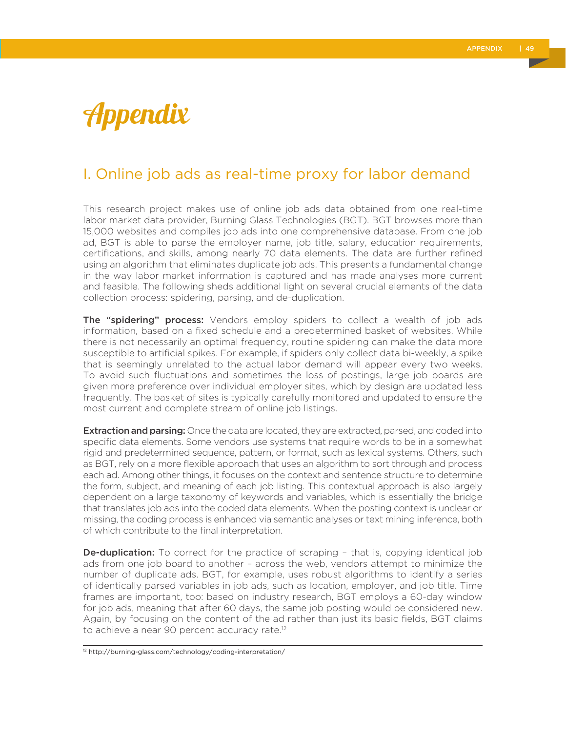# Appendix

# I. Online job ads as real-time proxy for labor demand

This research project makes use of online job ads data obtained from one real-time labor market data provider, Burning Glass Technologies (BGT). BGT browses more than 15,000 websites and compiles job ads into one comprehensive database. From one job ad, BGT is able to parse the employer name, job title, salary, education requirements, certifications, and skills, among nearly 70 data elements. The data are further refined using an algorithm that eliminates duplicate job ads. This presents a fundamental change in the way labor market information is captured and has made analyses more current and feasible. The following sheds additional light on several crucial elements of the data collection process: spidering, parsing, and de-duplication.

The "spidering" process: Vendors employ spiders to collect a wealth of job ads information, based on a fixed schedule and a predetermined basket of websites. While there is not necessarily an optimal frequency, routine spidering can make the data more susceptible to artificial spikes. For example, if spiders only collect data bi-weekly, a spike that is seemingly unrelated to the actual labor demand will appear every two weeks. To avoid such fluctuations and sometimes the loss of postings, large job boards are given more preference over individual employer sites, which by design are updated less frequently. The basket of sites is typically carefully monitored and updated to ensure the most current and complete stream of online job listings.

**Extraction and parsing:** Once the data are located, they are extracted, parsed, and coded into specific data elements. Some vendors use systems that require words to be in a somewhat rigid and predetermined sequence, pattern, or format, such as lexical systems. Others, such as BGT, rely on a more flexible approach that uses an algorithm to sort through and process each ad. Among other things, it focuses on the context and sentence structure to determine the form, subject, and meaning of each job listing. This contextual approach is also largely dependent on a large taxonomy of keywords and variables, which is essentially the bridge that translates job ads into the coded data elements. When the posting context is unclear or missing, the coding process is enhanced via semantic analyses or text mining inference, both of which contribute to the final interpretation.

**De-duplication:** To correct for the practice of scraping - that is, copying identical job ads from one job board to another – across the web, vendors attempt to minimize the number of duplicate ads. BGT, for example, uses robust algorithms to identify a series of identically parsed variables in job ads, such as location, employer, and job title. Time frames are important, too: based on industry research, BGT employs a 60-day window for job ads, meaning that after 60 days, the same job posting would be considered new. Again, by focusing on the content of the ad rather than just its basic fields, BGT claims to achieve a near 90 percent accuracy rate.<sup>12</sup>

<sup>12</sup> http://burning-glass.com/technology/coding-interpretation/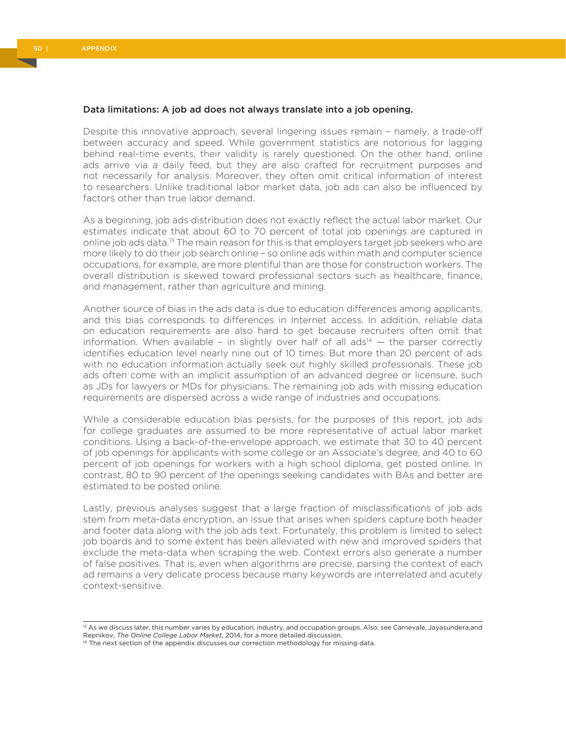#### Data limitations: A job ad does not always translate into a job opening.

Despite this innovative approach, several lingering issues remain – namely, a trade-off between accuracy and speed. While government statistics are notorious for lagging behind real-time events, their validity is rarely questioned. On the other hand, online ads arrive via a daily feed, but they are also crafted for recruitment purposes and not necessarily for analysis. Moreover, they often omit critical information of interest to researchers. Unlike traditional labor market data, job ads can also be influenced by factors other than true labor demand.

As a beginning, job ads distribution does not exactly reflect the actual labor market. Our estimates indicate that about 60 to 70 percent of total job openings are captured in online job ads data.<sup>13</sup> The main reason for this is that employers target job seekers who are more likely to do their job search online – so online ads within math and computer science occupations, for example, are more plentiful than are those for construction workers. The overall distribution is skewed toward professional sectors such as healthcare, finance, and management, rather than agriculture and mining.

Another source of bias in the ads data is due to education differences among applicants, and this bias corresponds to differences in Internet access. In addition, reliable data on education requirements are also hard to get because recruiters often omit that information. When available - in slightly over half of all  $ads<sup>14</sup>$  - the parser correctly identifies education level nearly nine out of 10 times. But more than 20 percent of ads with no education information actually seek out highly skilled professionals. These job ads often come with an implicit assumption of an advanced degree or licensure, such as JDs for lawyers or MDs for physicians. The remaining job ads with missing education requirements are dispersed across a wide range of industries and occupations.

While a considerable education bias persists, for the purposes of this report, job ads for college graduates are assumed to be more representative of actual labor market conditions. Using a back-of-the-envelope approach, we estimate that 30 to 40 percent of job openings for applicants with some college or an Associate's degree, and 40 to 60 percent of job openings for workers with a high school diploma, get posted online. In contrast, 80 to 90 percent of the openings seeking candidates with BAs and better are estimated to be posted online.

Lastly, previous analyses suggest that a large fraction of misclassifications of job ads stem from meta-data encryption, an issue that arises when spiders capture both header and footer data along with the job ads text. Fortunately, this problem is limited to select job boards and to some extent has been alleviated with new and improved spiders that exclude the meta-data when scraping the web. Context errors also generate a number of false positives. That is, even when algorithms are precise, parsing the context of each ad remains a very delicate process because many keywords are interrelated and acutely context-sensitive.

<sup>&</sup>lt;sup>13</sup> As we discuss later, this number varies by education, industry, and occupation groups. Also, see Carnevale, Jayasundera,and Repnikov, *The Online College Labor Market*, 2014, for a more detailed discussion.

<sup>&</sup>lt;sup>14</sup> The next section of the appendix discusses our correction methodology for missing data.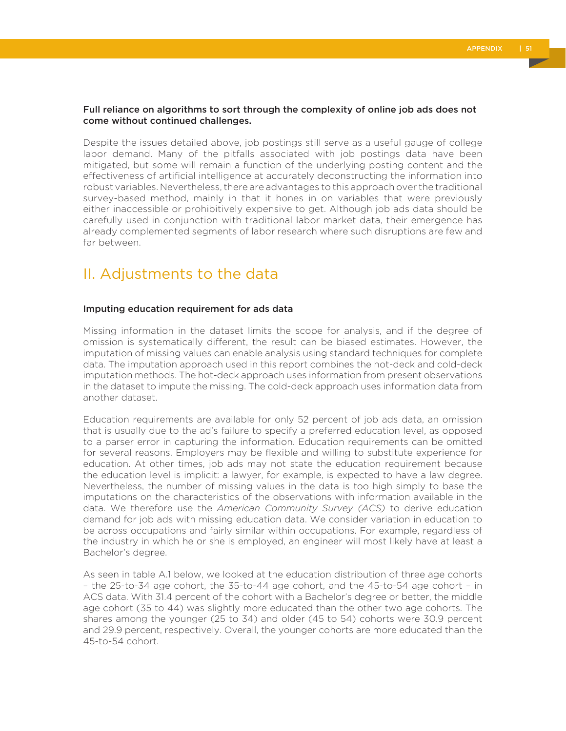#### Full reliance on algorithms to sort through the complexity of online job ads does not come without continued challenges.

Despite the issues detailed above, job postings still serve as a useful gauge of college labor demand. Many of the pitfalls associated with job postings data have been mitigated, but some will remain a function of the underlying posting content and the effectiveness of artificial intelligence at accurately deconstructing the information into robust variables. Nevertheless, there are advantages to this approach over the traditional survey-based method, mainly in that it hones in on variables that were previously either inaccessible or prohibitively expensive to get. Although job ads data should be carefully used in conjunction with traditional labor market data, their emergence has already complemented segments of labor research where such disruptions are few and far between.

# II. Adjustments to the data

#### Imputing education requirement for ads data

Missing information in the dataset limits the scope for analysis, and if the degree of omission is systematically different, the result can be biased estimates. However, the imputation of missing values can enable analysis using standard techniques for complete data. The imputation approach used in this report combines the hot-deck and cold-deck imputation methods. The hot-deck approach uses information from present observations in the dataset to impute the missing. The cold-deck approach uses information data from another dataset.

Education requirements are available for only 52 percent of job ads data, an omission that is usually due to the ad's failure to specify a preferred education level, as opposed to a parser error in capturing the information. Education requirements can be omitted for several reasons. Employers may be flexible and willing to substitute experience for education. At other times, job ads may not state the education requirement because the education level is implicit: a lawyer, for example, is expected to have a law degree. Nevertheless, the number of missing values in the data is too high simply to base the imputations on the characteristics of the observations with information available in the data. We therefore use the *American Community Survey (ACS)* to derive education demand for job ads with missing education data. We consider variation in education to be across occupations and fairly similar within occupations. For example, regardless of the industry in which he or she is employed, an engineer will most likely have at least a Bachelor's degree.

As seen in table A.1 below, we looked at the education distribution of three age cohorts – the 25-to-34 age cohort, the 35-to-44 age cohort, and the 45-to-54 age cohort – in ACS data. With 31.4 percent of the cohort with a Bachelor's degree or better, the middle age cohort (35 to 44) was slightly more educated than the other two age cohorts. The shares among the younger (25 to 34) and older (45 to 54) cohorts were 30.9 percent and 29.9 percent, respectively. Overall, the younger cohorts are more educated than the 45-to-54 cohort.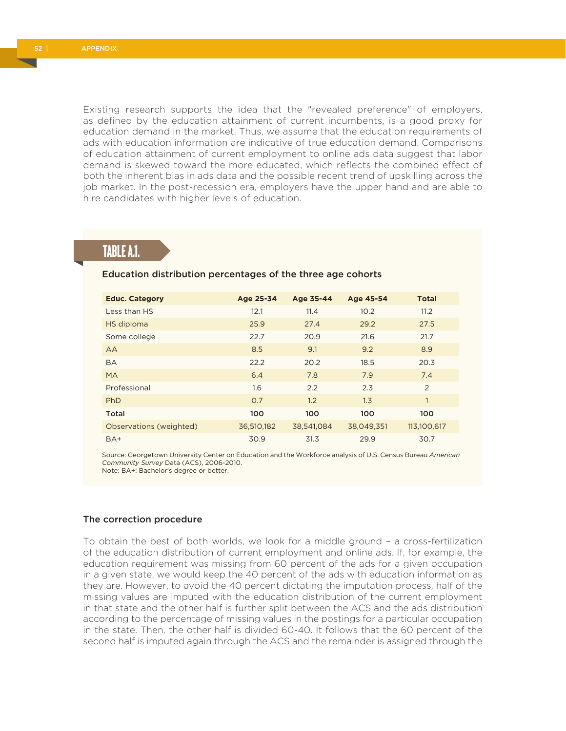Existing research supports the idea that the "revealed preference" of employers, as defined by the education attainment of current incumbents, is a good proxy for education demand in the market. Thus, we assume that the education requirements of ads with education information are indicative of true education demand. Comparisons of education attainment of current employment to online ads data suggest that labor demand is skewed toward the more educated, which reflects the combined effect of both the inherent bias in ads data and the possible recent trend of upskilling across the job market. In the post-recession era, employers have the upper hand and are able to hire candidates with higher levels of education.

# TABLE A.1.

#### Education distribution percentages of the three age cohorts

| <b>Educ. Category</b>   | Age 25-34  | Age 35-44  | Age 45-54  | <b>Total</b>   |
|-------------------------|------------|------------|------------|----------------|
| Less than HS            | 12.1       | 11.4       | 10.2       | 11.2           |
| HS diploma              | 25.9       | 27.4       | 29.2       | 27.5           |
| Some college            | 22.7       | 20.9       | 21.6       | 21.7           |
| AA                      | 8.5        | 9.1        | 9.2        | 8.9            |
| <b>BA</b>               | 22.2       | 20.2       | 18.5       | 20.3           |
| <b>MA</b>               | 6.4        | 7.8        | 7.9        | 7.4            |
| Professional            | 1.6        | 2.2        | 2.3        | $\overline{2}$ |
| PhD                     | O.7        | 1.2        | 1.3        | 1              |
| Total                   | 100        | 100        | 100        | 100            |
| Observations (weighted) | 36,510,182 | 38,541,084 | 38,049,351 | 113,100,617    |
| $BA+$                   | 30.9       | 31.3       | 29.9       | 30.7           |

Source: Georgetown University Center on Education and the Workforce analysis of U.S. Census Bureau *American Community Survey* Data (ACS), 2006-2010. Note: BA+: Bachelor's degree or better.

#### The correction procedure

To obtain the best of both worlds, we look for a middle ground – a cross-fertilization of the education distribution of current employment and online ads. If, for example, the education requirement was missing from 60 percent of the ads for a given occupation in a given state, we would keep the 40 percent of the ads with education information as they are. However, to avoid the 40 percent dictating the imputation process, half of the missing values are imputed with the education distribution of the current employment in that state and the other half is further split between the ACS and the ads distribution according to the percentage of missing values in the postings for a particular occupation in the state. Then, the other half is divided 60-40. It follows that the 60 percent of the second half is imputed again through the ACS and the remainder is assigned through the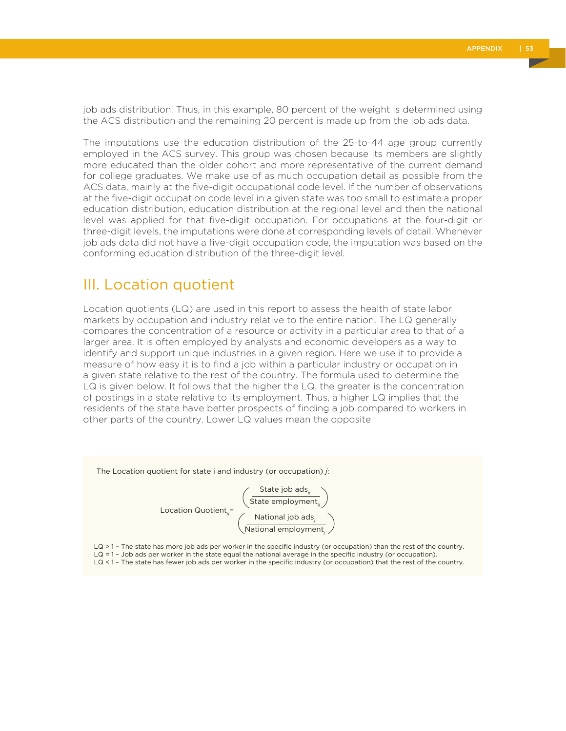job ads distribution. Thus, in this example, 80 percent of the weight is determined using the ACS distribution and the remaining 20 percent is made up from the job ads data.

The imputations use the education distribution of the 25-to-44 age group currently employed in the ACS survey. This group was chosen because its members are slightly more educated than the older cohort and more representative of the current demand for college graduates. We make use of as much occupation detail as possible from the ACS data, mainly at the five-digit occupational code level. If the number of observations at the five-digit occupation code level in a given state was too small to estimate a proper education distribution, education distribution at the regional level and then the national level was applied for that five-digit occupation. For occupations at the four-digit or three-digit levels, the imputations were done at corresponding levels of detail. Whenever job ads data did not have a five-digit occupation code, the imputation was based on the conforming education distribution of the three-digit level.

## III. Location quotient

Location quotients (LQ) are used in this report to assess the health of state labor markets by occupation and industry relative to the entire nation. The LQ generally compares the concentration of a resource or activity in a particular area to that of a larger area. It is often employed by analysts and economic developers as a way to identify and support unique industries in a given region. Here we use it to provide a measure of how easy it is to find a job within a particular industry or occupation in a given state relative to the rest of the country. The formula used to determine the LQ is given below. It follows that the higher the LQ, the greater is the concentration of postings in a state relative to its employment. Thus, a higher LQ implies that the residents of the state have better prospects of finding a job compared to workers in other parts of the country. Lower LQ values mean the opposite



LQ < 1 - The state has fewer job ads per worker in the specific industry (or occupation) that the rest of the country.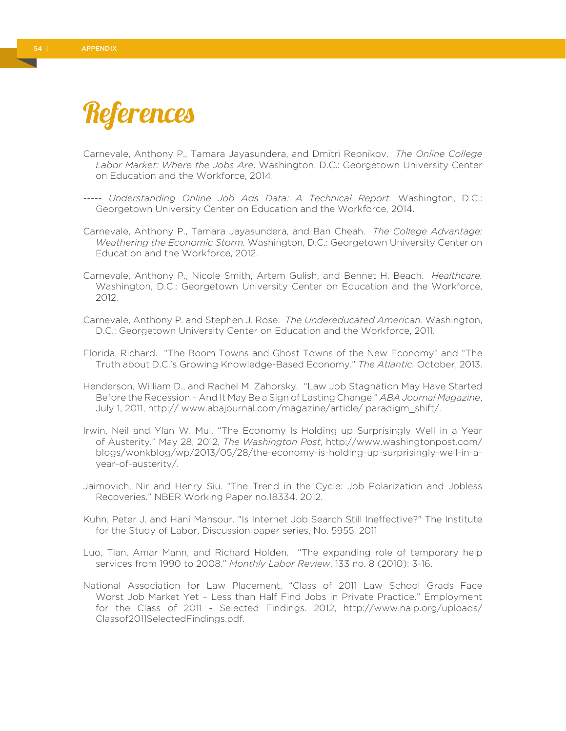# References

- Carnevale, Anthony P., Tamara Jayasundera, and Dmitri Repnikov. *The Online College Labor Market: Where the Jobs Are*. Washington, D.C.: Georgetown University Center on Education and the Workforce, 2014.
- ----- *Understanding Online Job Ads Data: A Technical Report.* Washington, D.C.: Georgetown University Center on Education and the Workforce, 2014.
- Carnevale, Anthony P., Tamara Jayasundera, and Ban Cheah. *The College Advantage: Weathering the Economic Storm.* Washington, D.C.: Georgetown University Center on Education and the Workforce, 2012.
- Carnevale, Anthony P., Nicole Smith, Artem Gulish, and Bennet H. Beach. *Healthcare.*  Washington, D.C.: Georgetown University Center on Education and the Workforce, 2012.
- Carnevale, Anthony P. and Stephen J. Rose. *The Undereducated American.* Washington, D.C.: Georgetown University Center on Education and the Workforce, 2011.
- Florida, Richard. "The Boom Towns and Ghost Towns of the New Economy" and "The Truth about D.C.'s Growing Knowledge-Based Economy." *The Atlantic.* October, 2013.
- Henderson, William D., and Rachel M. Zahorsky. "Law Job Stagnation May Have Started Before the Recession – And It May Be a Sign of Lasting Change." *ABA Journal Magazine*, July 1, 2011, http:// www.abajournal.com/magazine/article/ paradigm\_shift/.
- Irwin, Neil and Ylan W. Mui. "The Economy Is Holding up Surprisingly Well in a Year of Austerity." May 28, 2012, *The Washington Post*, http://www.washingtonpost.com/ blogs/wonkblog/wp/2013/05/28/the-economy-is-holding-up-surprisingly-well-in-ayear-of-austerity/.
- Jaimovich, Nir and Henry Siu. "The Trend in the Cycle: Job Polarization and Jobless Recoveries." NBER Working Paper no.18334. 2012.
- Kuhn, Peter J. and Hani Mansour. "Is Internet Job Search Still Ineffective?" The Institute for the Study of Labor, Discussion paper series, No. 5955. 2011
- Luo, Tian, Amar Mann, and Richard Holden. "The expanding role of temporary help services from 1990 to 2008." *Monthly Labor Review*, 133 no. 8 (2010): 3-16.
- National Association for Law Placement. "Class of 2011 Law School Grads Face Worst Job Market Yet – Less than Half Find Jobs in Private Practice." Employment for the Class of 2011 - Selected Findings. 2012, http://www.nalp.org/uploads/ Classof2011SelectedFindings.pdf.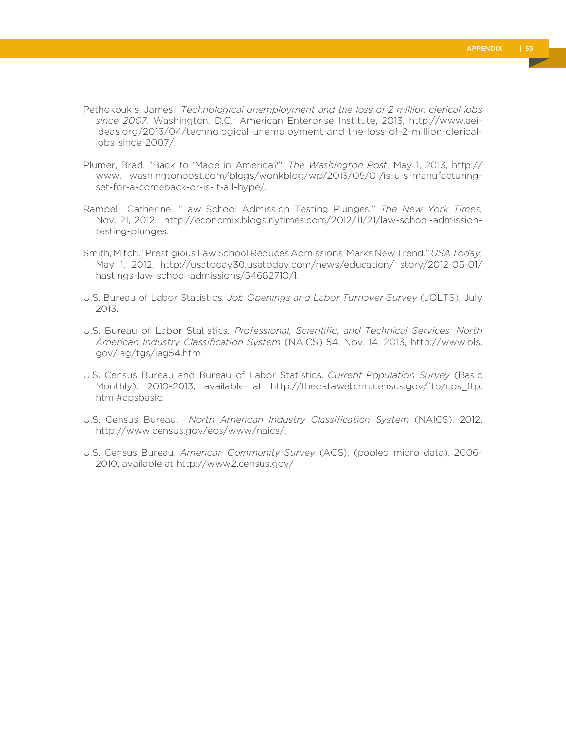- Pethokoukis, James. *Technological unemployment and the loss of 2 million clerical jobs since 2007*. Washington, D.C.: American Enterprise Institute, 2013, http://www.aeiideas.org/2013/04/technological-unemployment-and-the-loss-of-2-million-clericaljobs-since-2007/.
- Plumer, Brad. "Back to 'Made in America?'" *The Washington Post*, May 1, 2013, http:// www. washingtonpost.com/blogs/wonkblog/wp/2013/05/01/is-u-s-manufacturingset-for-a-comeback-or-is-it-all-hype/.
- Rampell, Catherine. "Law School Admission Testing Plunges." *The New York Times,*  Nov. 21, 2012, http://economix.blogs.nytimes.com/2012/11/21/law-school-admissiontesting-plunges.
- Smith, Mitch. "Prestigious Law School Reduces Admissions, Marks New Trend." *USA Today,*  May 1, 2012, http://usatoday30.usatoday.com/news/education/ story/2012-05-01/ hastings-law-school-admissions/54662710/1.
- U.S. Bureau of Labor Statistics. *Job Openings and Labor Turnover Survey* (JOLTS), July 2013.
- U.S. Bureau of Labor Statistics. *Professional, Scientific, and Technical Services: North American Industry Classification System* (NAICS) 54, Nov. 14, 2013, http://www.bls. gov/iag/tgs/iag54.htm.
- U.S. Census Bureau and Bureau of Labor Statistics. *Current Population Survey* (Basic Monthly). 2010-2013, available at http://thedataweb.rm.census.gov/ftp/cps\_ftp. html#cpsbasic.
- U.S. Census Bureau. *North American Industry Classification System* (NAICS). 2012, http://www.census.gov/eos/www/naics/.
- U.S. Census Bureau. *American Community Survey* (ACS), (pooled micro data). 2006- 2010, available at http://www2.census.gov/